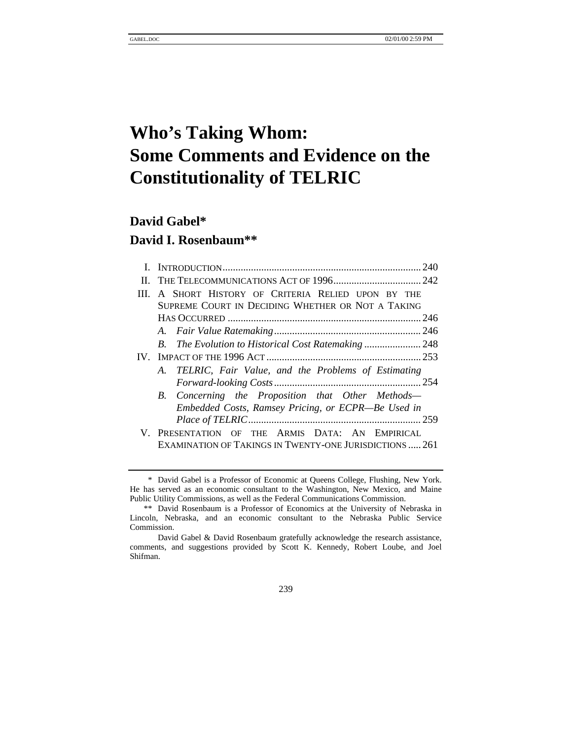# **Who's Taking Whom: Some Comments and Evidence on the Constitutionality of TELRIC**

# **David Gabel\***

# **David I. Rosenbaum\*\***

|     | III. A SHORT HISTORY OF CRITERIA RELIED UPON BY THE     |  |  |  |
|-----|---------------------------------------------------------|--|--|--|
|     | SUPREME COURT IN DECIDING WHETHER OR NOT A TAKING       |  |  |  |
|     |                                                         |  |  |  |
|     |                                                         |  |  |  |
|     |                                                         |  |  |  |
| IV. |                                                         |  |  |  |
|     | A. TELRIC, Fair Value, and the Problems of Estimating   |  |  |  |
|     |                                                         |  |  |  |
|     | B. Concerning the Proposition that Other Methods—       |  |  |  |
|     | Embedded Costs, Ramsey Pricing, or ECPR-Be Used in      |  |  |  |
|     |                                                         |  |  |  |
|     | V. PRESENTATION OF THE ARMIS DATA: AN EMPIRICAL         |  |  |  |
|     | EXAMINATION OF TAKINGS IN TWENTY-ONE JURISDICTIONS  261 |  |  |  |
|     |                                                         |  |  |  |

239

<sup>\*</sup> David Gabel is a Professor of Economic at Queens College, Flushing, New York. He has served as an economic consultant to the Washington, New Mexico, and Maine Public Utility Commissions, as well as the Federal Communications Commission.

<sup>\*\*</sup> David Rosenbaum is a Professor of Economics at the University of Nebraska in Lincoln, Nebraska, and an economic consultant to the Nebraska Public Service Commission.

David Gabel & David Rosenbaum gratefully acknowledge the research assistance, comments, and suggestions provided by Scott K. Kennedy, Robert Loube, and Joel Shifman.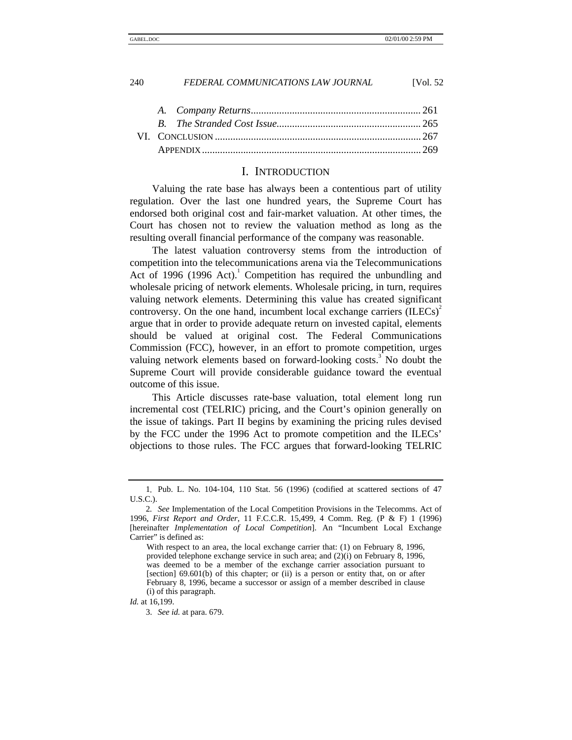### I. INTRODUCTION

Valuing the rate base has always been a contentious part of utility regulation. Over the last one hundred years, the Supreme Court has endorsed both original cost and fair-market valuation. At other times, the Court has chosen not to review the valuation method as long as the resulting overall financial performance of the company was reasonable.

The latest valuation controversy stems from the introduction of competition into the telecommunications arena via the Telecommunications Act of 1996 (1996 Act). $1$  Competition has required the unbundling and wholesale pricing of network elements. Wholesale pricing, in turn, requires valuing network elements. Determining this value has created significant controversy. On the one hand, incumbent local exchange carriers  $(ILECs)^2$ argue that in order to provide adequate return on invested capital, elements should be valued at original cost. The Federal Communications Commission (FCC), however, in an effort to promote competition, urges valuing network elements based on forward-looking costs.<sup>3</sup> No doubt the Supreme Court will provide considerable guidance toward the eventual outcome of this issue.

This Article discusses rate-base valuation, total element long run incremental cost (TELRIC) pricing, and the Court's opinion generally on the issue of takings. Part II begins by examining the pricing rules devised by the FCC under the 1996 Act to promote competition and the ILECs' objections to those rules. The FCC argues that forward-looking TELRIC

<sup>1</sup>*.* Pub. L. No. 104-104, 110 Stat. 56 (1996) (codified at scattered sections of 47 U.S.C.).

<sup>2</sup>*. See* Implementation of the Local Competition Provisions in the Telecomms. Act of 1996, *First Report and Order*, 11 F.C.C.R. 15,499, 4 Comm. Reg. (P & F) 1 (1996) [hereinafter *Implementation of Local Competition*]. An "Incumbent Local Exchange Carrier" is defined as:

With respect to an area, the local exchange carrier that: (1) on February 8, 1996, provided telephone exchange service in such area; and (2)(i) on February 8, 1996, was deemed to be a member of the exchange carrier association pursuant to [section] 69.601(b) of this chapter; or (ii) is a person or entity that, on or after February 8, 1996, became a successor or assign of a member described in clause (i) of this paragraph.

*Id.* at 16,199.

<sup>3.</sup> *See id.* at para. 679.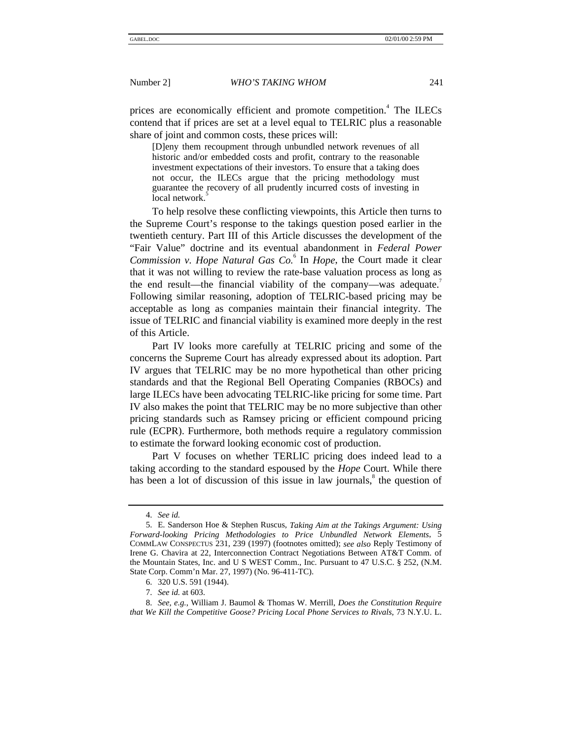prices are economically efficient and promote competition.<sup>4</sup> The ILECs contend that if prices are set at a level equal to TELRIC plus a reasonable share of joint and common costs, these prices will:

[D]eny them recoupment through unbundled network revenues of all historic and/or embedded costs and profit, contrary to the reasonable investment expectations of their investors. To ensure that a taking does not occur, the ILECs argue that the pricing methodology must guarantee the recovery of all prudently incurred costs of investing in local network.

To help resolve these conflicting viewpoints, this Article then turns to the Supreme Court's response to the takings question posed earlier in the twentieth century. Part III of this Article discusses the development of the "Fair Value" doctrine and its eventual abandonment in *Federal Power Commission v. Hope Natural Gas Co.*<sup>6</sup> In *Hope*, the Court made it clear that it was not willing to review the rate-base valuation process as long as the end result—the financial viability of the company—was adequate.<sup>7</sup> Following similar reasoning, adoption of TELRIC-based pricing may be acceptable as long as companies maintain their financial integrity. The issue of TELRIC and financial viability is examined more deeply in the rest of this Article.

Part IV looks more carefully at TELRIC pricing and some of the concerns the Supreme Court has already expressed about its adoption. Part IV argues that TELRIC may be no more hypothetical than other pricing standards and that the Regional Bell Operating Companies (RBOCs) and large ILECs have been advocating TELRIC-like pricing for some time. Part IV also makes the point that TELRIC may be no more subjective than other pricing standards such as Ramsey pricing or efficient compound pricing rule (ECPR). Furthermore, both methods require a regulatory commission to estimate the forward looking economic cost of production.

Part V focuses on whether TERLIC pricing does indeed lead to a taking according to the standard espoused by the *Hope* Court. While there has been a lot of discussion of this issue in law journals,<sup>8</sup> the question of

<sup>4.</sup> *See id.*

<sup>5.</sup> E. Sanderson Hoe & Stephen Ruscus, *Taking Aim at the Takings Argument: Using Forward-looking Pricing Methodologies to Price Unbundled Network Elements*, 5 COMMLAW CONSPECTUS 231, 239 (1997) (footnotes omitted); *see also* Reply Testimony of Irene G. Chavira at 22, Interconnection Contract Negotiations Between AT&T Comm. of the Mountain States, Inc. and U S WEST Comm., Inc. Pursuant to 47 U.S.C. § 252, (N.M. State Corp. Comm'n Mar. 27, 1997) (No. 96-411-TC).

<sup>6. 320</sup> U.S. 591 (1944).

<sup>7.</sup> *See id.* at 603.

<sup>8.</sup> *See, e.g.*, William J. Baumol & Thomas W. Merrill, *Does the Constitution Require that We Kill the Competitive Goose? Pricing Local Phone Services to Rivals*, 73 N.Y.U. L.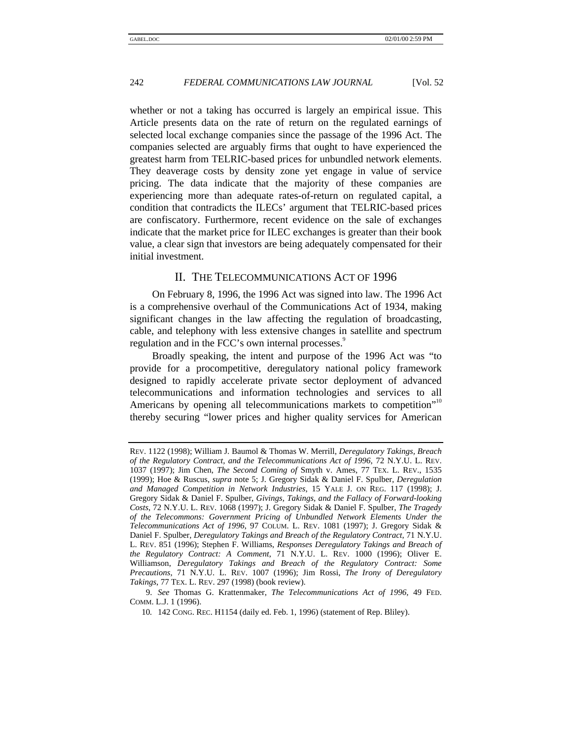whether or not a taking has occurred is largely an empirical issue. This Article presents data on the rate of return on the regulated earnings of selected local exchange companies since the passage of the 1996 Act. The companies selected are arguably firms that ought to have experienced the greatest harm from TELRIC-based prices for unbundled network elements. They deaverage costs by density zone yet engage in value of service pricing. The data indicate that the majority of these companies are experiencing more than adequate rates-of-return on regulated capital, a condition that contradicts the ILECs' argument that TELRIC-based prices are confiscatory. Furthermore, recent evidence on the sale of exchanges indicate that the market price for ILEC exchanges is greater than their book value, a clear sign that investors are being adequately compensated for their initial investment.

# II. THE TELECOMMUNICATIONS ACT OF 1996

On February 8, 1996, the 1996 Act was signed into law. The 1996 Act is a comprehensive overhaul of the Communications Act of 1934, making significant changes in the law affecting the regulation of broadcasting, cable, and telephony with less extensive changes in satellite and spectrum regulation and in the FCC's own internal processes.<sup>9</sup>

Broadly speaking, the intent and purpose of the 1996 Act was "to provide for a procompetitive, deregulatory national policy framework designed to rapidly accelerate private sector deployment of advanced telecommunications and information technologies and services to all Americans by opening all telecommunications markets to competition"<sup>10</sup> thereby securing "lower prices and higher quality services for American

REV. 1122 (1998); William J. Baumol & Thomas W. Merrill, *Deregulatory Takings, Breach of the Regulatory Contract, and the Telecommunications Act of 1996*, 72 N.Y.U. L. REV. 1037 (1997); Jim Chen, *The Second Coming of* Smyth v. Ames, 77 TEX. L. REV., 1535 (1999); Hoe & Ruscus, *supra* note 5; J. Gregory Sidak & Daniel F. Spulber, *Deregulation and Managed Competition in Network Industries*, 15 YALE J. ON REG. 117 (1998); J. Gregory Sidak & Daniel F. Spulber, *Givings, Takings, and the Fallacy of Forward-looking Costs*, 72 N.Y.U. L. REV. 1068 (1997); J. Gregory Sidak & Daniel F. Spulber, *The Tragedy of the Telecommons: Government Pricing of Unbundled Network Elements Under the Telecommunications Act of 1996*, 97 COLUM. L. REV. 1081 (1997); J. Gregory Sidak & Daniel F. Spulber, *Deregulatory Takings and Breach of the Regulatory Contract*, 71 N.Y.U. L. REV. 851 (1996); Stephen F. Williams, *Responses Deregulatory Takings and Breach of the Regulatory Contract: A Comment*, 71 N.Y.U. L. REV. 1000 (1996); Oliver E. Williamson, *Deregulatory Takings and Breach of the Regulatory Contract: Some Precautions*, 71 N.Y.U. L. REV. 1007 (1996); Jim Rossi, *The Irony of Deregulatory Takings*, 77 TEX. L. REV. 297 (1998) (book review).

<sup>9.</sup> *See* Thomas G. Krattenmaker, *The Telecommunications Act of 1996*, 49 FED. COMM. L.J. 1 (1996).

<sup>10</sup>*.* 142 CONG. REC. H1154 (daily ed. Feb. 1, 1996) (statement of Rep. Bliley).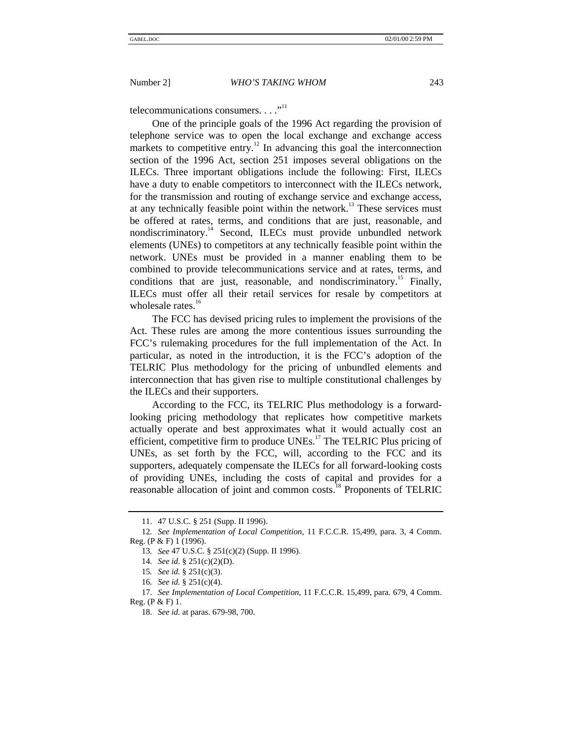telecommunications consumers.  $\dots$ <sup>11</sup>

One of the principle goals of the 1996 Act regarding the provision of telephone service was to open the local exchange and exchange access markets to competitive entry.<sup>12</sup> In advancing this goal the interconnection section of the 1996 Act, section 251 imposes several obligations on the ILECs. Three important obligations include the following: First, ILECs have a duty to enable competitors to interconnect with the ILECs network, for the transmission and routing of exchange service and exchange access, at any technically feasible point within the network.<sup>13</sup> These services must be offered at rates, terms, and conditions that are just, reasonable, and nondiscriminatory.<sup>14</sup> Second, ILECs must provide unbundled network elements (UNEs) to competitors at any technically feasible point within the network. UNEs must be provided in a manner enabling them to be combined to provide telecommunications service and at rates, terms, and conditions that are just, reasonable, and nondiscriminatory.<sup>15</sup> Finally, ILECs must offer all their retail services for resale by competitors at wholesale rates. $16$ 

The FCC has devised pricing rules to implement the provisions of the Act. These rules are among the more contentious issues surrounding the FCC's rulemaking procedures for the full implementation of the Act. In particular, as noted in the introduction, it is the FCC's adoption of the TELRIC Plus methodology for the pricing of unbundled elements and interconnection that has given rise to multiple constitutional challenges by the ILECs and their supporters.

According to the FCC, its TELRIC Plus methodology is a forwardlooking pricing methodology that replicates how competitive markets actually operate and best approximates what it would actually cost an efficient, competitive firm to produce  $UNEs<sup>17</sup>$ . The TELRIC Plus pricing of UNEs, as set forth by the FCC, will, according to the FCC and its supporters, adequately compensate the ILECs for all forward-looking costs of providing UNEs, including the costs of capital and provides for a reasonable allocation of joint and common costs.<sup>18</sup> Proponents of TELRIC

<sup>11. 47</sup> U.S.C. § 251 (Supp. II 1996).

<sup>12</sup>*. See Implementation of Local Competition*, 11 F.C.C.R. 15,499, para. 3, 4 Comm. Reg. (P & F) 1 (1996).

<sup>13</sup>*. See* 47 U.S.C. § 251(c)(2) (Supp. II 1996).

<sup>14</sup>*. See id.* § 251(c)(2)(D).

<sup>15</sup>*. See id.* § 251(c)(3).

<sup>16</sup>*. See id.* § 251(c)(4).

<sup>17.</sup> *See Implementation of Local Competition*, 11 F.C.C.R. 15,499, para. 679, 4 Comm. Reg. (P & F) 1.

<sup>18.</sup> *See id.* at paras. 679-98, 700.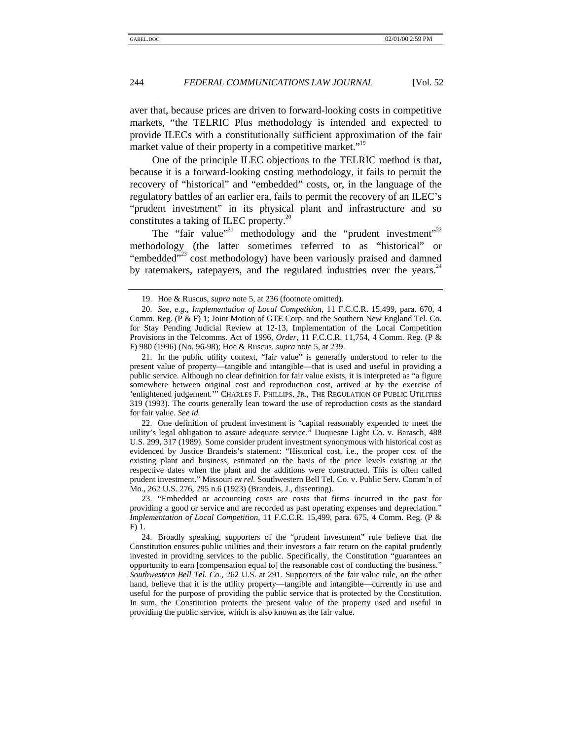aver that, because prices are driven to forward-looking costs in competitive markets, "the TELRIC Plus methodology is intended and expected to provide ILECs with a constitutionally sufficient approximation of the fair market value of their property in a competitive market."<sup>19</sup>

One of the principle ILEC objections to the TELRIC method is that, because it is a forward-looking costing methodology, it fails to permit the recovery of "historical" and "embedded" costs, or, in the language of the regulatory battles of an earlier era, fails to permit the recovery of an ILEC's "prudent investment" in its physical plant and infrastructure and so constitutes a taking of ILEC property. $^{20}$ 

The "fair value"<sup>21</sup> methodology and the "prudent investment"<sup>22</sup> methodology (the latter sometimes referred to as "historical" or "embedded"<sup>23</sup> cost methodology) have been variously praised and damned by ratemakers, ratepayers, and the regulated industries over the years.  $44$ 

22. One definition of prudent investment is "capital reasonably expended to meet the utility's legal obligation to assure adequate service." Duquesne Light Co. v. Barasch, 488 U.S. 299, 317 (1989). Some consider prudent investment synonymous with historical cost as evidenced by Justice Brandeis's statement: "Historical cost, i.e., the proper cost of the existing plant and business, estimated on the basis of the price levels existing at the respective dates when the plant and the additions were constructed. This is often called prudent investment." Missouri *ex rel.* Southwestern Bell Tel. Co. v. Public Serv. Comm'n of Mo., 262 U.S. 276, 295 n.6 (1923) (Brandeis, J., dissenting).

23. "Embedded or accounting costs are costs that firms incurred in the past for providing a good or service and are recorded as past operating expenses and depreciation." *Implementation of Local Competition*, 11 F.C.C.R. 15,499, para. 675, 4 Comm. Reg. (P & F) 1.

<sup>19.</sup> Hoe & Ruscus, *supra* note 5, at 236 (footnote omitted).

<sup>20.</sup> *See, e.g.*, *Implementation of Local Competition*, 11 F.C.C.R. 15,499, para. 670, 4 Comm. Reg.  $(P \& F)$  1; Joint Motion of GTE Corp. and the Southern New England Tel. Co. for Stay Pending Judicial Review at 12-13, Implementation of the Local Competition Provisions in the Telcomms. Act of 1996, *Order*, 11 F.C.C.R. 11,754, 4 Comm. Reg. (P & F) 980 (1996) (No. 96-98); Hoe & Ruscus, *supra* note 5, at 239.

<sup>21.</sup> In the public utility context, "fair value" is generally understood to refer to the present value of property—tangible and intangible—that is used and useful in providing a public service. Although no clear definition for fair value exists, it is interpreted as "a figure somewhere between original cost and reproduction cost, arrived at by the exercise of 'enlightened judgement.'" CHARLES F. PHILLIPS, JR., THE REGULATION OF PUBLIC UTILITIES 319 (1993). The courts generally lean toward the use of reproduction costs as the standard for fair value. *See id.*

<sup>24.</sup> Broadly speaking, supporters of the "prudent investment" rule believe that the Constitution ensures public utilities and their investors a fair return on the capital prudently invested in providing services to the public. Specifically, the Constitution "guarantees an opportunity to earn [compensation equal to] the reasonable cost of conducting the business." *Southwestern Bell Tel. Co.*, 262 U.S. at 291. Supporters of the fair value rule, on the other hand, believe that it is the utility property—tangible and intangible—currently in use and useful for the purpose of providing the public service that is protected by the Constitution. In sum, the Constitution protects the present value of the property used and useful in providing the public service, which is also known as the fair value.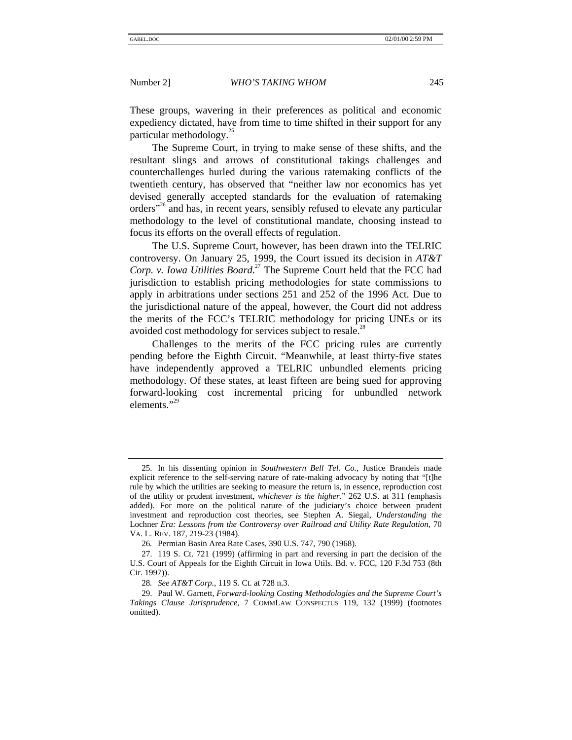These groups, wavering in their preferences as political and economic expediency dictated, have from time to time shifted in their support for any particular methodology. $^{25}$ 

The Supreme Court, in trying to make sense of these shifts, and the resultant slings and arrows of constitutional takings challenges and counterchallenges hurled during the various ratemaking conflicts of the twentieth century, has observed that "neither law nor economics has yet devised generally accepted standards for the evaluation of ratemaking orders"<sup>26</sup> and has, in recent years, sensibly refused to elevate any particular methodology to the level of constitutional mandate, choosing instead to focus its efforts on the overall effects of regulation.

The U.S. Supreme Court, however, has been drawn into the TELRIC controversy. On January 25, 1999, the Court issued its decision in *AT&T Corp. v. Iowa Utilities Board.*<sup>27</sup> The Supreme Court held that the FCC had jurisdiction to establish pricing methodologies for state commissions to apply in arbitrations under sections 251 and 252 of the 1996 Act. Due to the jurisdictional nature of the appeal, however, the Court did not address the merits of the FCC's TELRIC methodology for pricing UNEs or its avoided cost methodology for services subject to resale.<sup>26</sup>

Challenges to the merits of the FCC pricing rules are currently pending before the Eighth Circuit. "Meanwhile, at least thirty-five states have independently approved a TELRIC unbundled elements pricing methodology. Of these states, at least fifteen are being sued for approving forward-looking cost incremental pricing for unbundled network elements."<sup>29</sup>

<sup>25.</sup> In his dissenting opinion in *Southwestern Bell Tel. Co.*, Justice Brandeis made explicit reference to the self-serving nature of rate-making advocacy by noting that "[t]he rule by which the utilities are seeking to measure the return is, in essence, reproduction cost of the utility or prudent investment, *whichever is the higher*." 262 U.S. at 311 (emphasis added). For more on the political nature of the judiciary's choice between prudent investment and reproduction cost theories, see Stephen A. Siegal, *Understanding the* Lochner *Era: Lessons from the Controversy over Railroad and Utility Rate Regulation*, 70 VA. L. REV. 187, 219-23 (1984).

<sup>26</sup>*.* Permian Basin Area Rate Cases, 390 U.S. 747, 790 (1968).

<sup>27. 119</sup> S. Ct. 721 (1999) (affirming in part and reversing in part the decision of the U.S. Court of Appeals for the Eighth Circuit in Iowa Utils. Bd. v. FCC, 120 F.3d 753 (8th Cir. 1997)).

<sup>28</sup>*. See AT&T Corp.*, 119 S. Ct. at 728 n.3.

<sup>29.</sup> Paul W. Garnett, *Forward-looking Costing Methodologies and the Supreme Court's Takings Clause Jurisprudence*, 7 COMMLAW CONSPECTUS 119, 132 (1999) (footnotes omitted).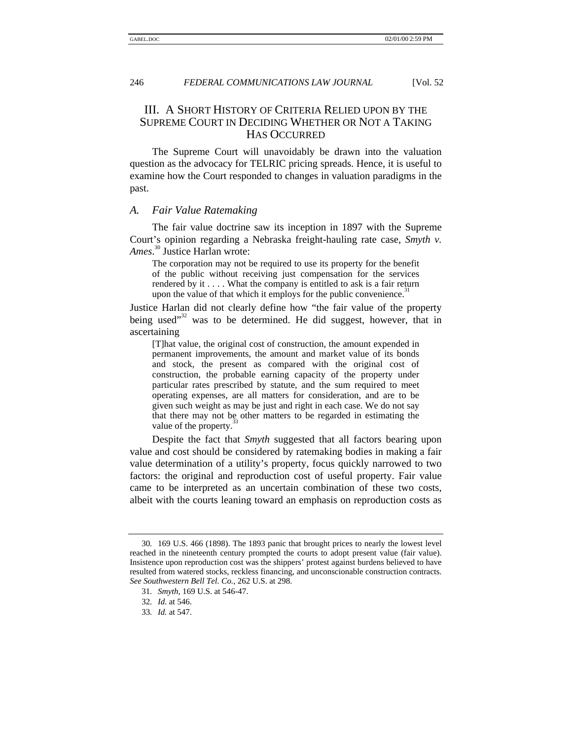# III. A SHORT HISTORY OF CRITERIA RELIED UPON BY THE SUPREME COURT IN DECIDING WHETHER OR NOT A TAKING HAS OCCURRED

The Supreme Court will unavoidably be drawn into the valuation question as the advocacy for TELRIC pricing spreads. Hence, it is useful to examine how the Court responded to changes in valuation paradigms in the past.

### *A. Fair Value Ratemaking*

The fair value doctrine saw its inception in 1897 with the Supreme Court's opinion regarding a Nebraska freight-hauling rate case, *Smyth v. Ames*. 30 Justice Harlan wrote:

The corporation may not be required to use its property for the benefit of the public without receiving just compensation for the services rendered by it . . . . What the company is entitled to ask is a fair return upon the value of that which it employs for the public convenience.<sup>3</sup>

Justice Harlan did not clearly define how "the fair value of the property being used"<sup>32</sup> was to be determined. He did suggest, however, that in ascertaining

[T]hat value, the original cost of construction, the amount expended in permanent improvements, the amount and market value of its bonds and stock, the present as compared with the original cost of construction, the probable earning capacity of the property under particular rates prescribed by statute, and the sum required to meet operating expenses, are all matters for consideration, and are to be given such weight as may be just and right in each case. We do not say that there may not be other matters to be regarded in estimating the value of the property.

Despite the fact that *Smyth* suggested that all factors bearing upon value and cost should be considered by ratemaking bodies in making a fair value determination of a utility's property, focus quickly narrowed to two factors: the original and reproduction cost of useful property. Fair value came to be interpreted as an uncertain combination of these two costs, albeit with the courts leaning toward an emphasis on reproduction costs as

<sup>30</sup>*.* 169 U.S. 466 (1898). The 1893 panic that brought prices to nearly the lowest level reached in the nineteenth century prompted the courts to adopt present value (fair value). Insistence upon reproduction cost was the shippers' protest against burdens believed to have resulted from watered stocks, reckless financing, and unconscionable construction contracts. *See Southwestern Bell Tel. Co.*, 262 U.S. at 298.

<sup>31</sup>*. Smyth*, 169 U.S. at 546-47.

<sup>32</sup>*. Id.* at 546.

<sup>33</sup>*. Id.* at 547.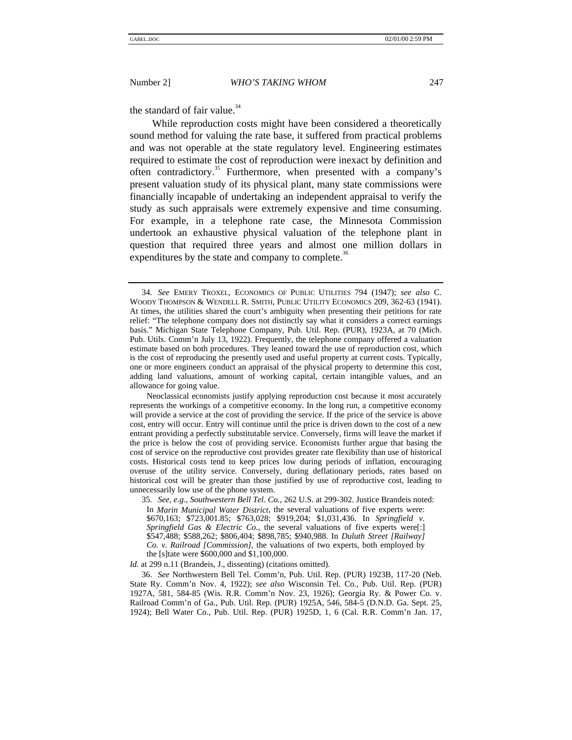the standard of fair value. $34$ 

While reproduction costs might have been considered a theoretically sound method for valuing the rate base, it suffered from practical problems and was not operable at the state regulatory level. Engineering estimates required to estimate the cost of reproduction were inexact by definition and often contradictory.<sup>35</sup> Furthermore, when presented with a company's present valuation study of its physical plant, many state commissions were financially incapable of undertaking an independent appraisal to verify the study as such appraisals were extremely expensive and time consuming. For example, in a telephone rate case, the Minnesota Commission undertook an exhaustive physical valuation of the telephone plant in question that required three years and almost one million dollars in expenditures by the state and company to complete.<sup>36</sup>

*Id.* at 299 n.11 (Brandeis, J., dissenting) (citations omitted).

<sup>34.</sup> *See* EMERY TROXEL, ECONOMICS OF PUBLIC UTILITIES 794 (1947); *see also* C. WOODY THOMPSON & WENDELL R. SMITH, PUBLIC UTILITY ECONOMICS 209, 362-63 (1941). At times, the utilities shared the court's ambiguity when presenting their petitions for rate relief: "The telephone company does not distinctly say what it considers a correct earnings basis." Michigan State Telephone Company, Pub. Util. Rep. (PUR), 1923A, at 70 (Mich. Pub. Utils. Comm'n July 13, 1922). Frequently, the telephone company offered a valuation estimate based on both procedures. They leaned toward the use of reproduction cost, which is the cost of reproducing the presently used and useful property at current costs. Typically, one or more engineers conduct an appraisal of the physical property to determine this cost, adding land valuations, amount of working capital, certain intangible values, and an allowance for going value.

Neoclassical economists justify applying reproduction cost because it most accurately represents the workings of a competitive economy. In the long run, a competitive economy will provide a service at the cost of providing the service. If the price of the service is above cost, entry will occur. Entry will continue until the price is driven down to the cost of a new entrant providing a perfectly substitutable service. Conversely, firms will leave the market if the price is below the cost of providing service. Economists further argue that basing the cost of service on the reproductive cost provides greater rate flexibility than use of historical costs. Historical costs tend to keep prices low during periods of inflation, encouraging overuse of the utility service. Conversely, during deflationary periods, rates based on historical cost will be greater than those justified by use of reproductive cost, leading to unnecessarily low use of the phone system.

<sup>35.</sup> *See, e.g.*, *Southwestern Bell Tel. Co.*, 262 U.S. at 299-302. Justice Brandeis noted: In *Marin Municipal Water District*, the several valuations of five experts were: \$670,163; \$723,001.85; \$763,028; \$919,204; \$1,031,436. In *Springfield v. Springfield Gas & Electric Co.*, the several valuations of five experts were[:] \$547,488; \$588,262; \$806,404; \$898,785; \$940,988. In *Duluth Street [Railway] Co. v. Railroad [Commission]*, the valuations of two experts, both employed by the [s]tate were \$600,000 and \$1,100,000.

<sup>36.</sup> *See* Northwestern Bell Tel. Comm'n, Pub. Util. Rep. (PUR) 1923B, 117-20 (Neb. State Ry. Comm'n Nov. 4, 1922); *see also* Wisconsin Tel. Co., Pub. Util. Rep. (PUR) 1927A, 581, 584-85 (Wis. R.R. Comm'n Nov. 23, 1926); Georgia Ry. & Power Co. v. Railroad Comm'n of Ga., Pub. Util. Rep. (PUR) 1925A, 546, 584-5 (D.N.D. Ga. Sept. 25, 1924); Bell Water Co., Pub. Util. Rep. (PUR) 1925D, 1, 6 (Cal. R.R. Comm'n Jan. 17,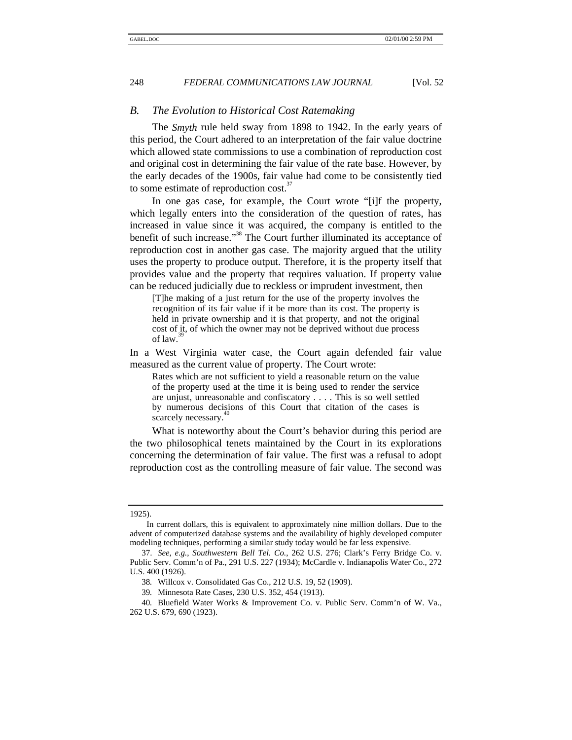# *B. The Evolution to Historical Cost Ratemaking*

The *Smyth* rule held sway from 1898 to 1942. In the early years of this period, the Court adhered to an interpretation of the fair value doctrine which allowed state commissions to use a combination of reproduction cost and original cost in determining the fair value of the rate base. However, by the early decades of the 1900s, fair value had come to be consistently tied to some estimate of reproduction cost.<sup>37</sup>

In one gas case, for example, the Court wrote "[i]f the property, which legally enters into the consideration of the question of rates, has increased in value since it was acquired, the company is entitled to the benefit of such increase."<sup>38</sup> The Court further illuminated its acceptance of reproduction cost in another gas case. The majority argued that the utility uses the property to produce output. Therefore, it is the property itself that provides value and the property that requires valuation. If property value can be reduced judicially due to reckless or imprudent investment, then

[T]he making of a just return for the use of the property involves the recognition of its fair value if it be more than its cost. The property is held in private ownership and it is that property, and not the original cost of it, of which the owner may not be deprived without due process of law.

In a West Virginia water case, the Court again defended fair value measured as the current value of property. The Court wrote:

Rates which are not sufficient to yield a reasonable return on the value of the property used at the time it is being used to render the service are unjust, unreasonable and confiscatory . . . . This is so well settled by numerous decisions of this Court that citation of the cases is scarcely necessary.

What is noteworthy about the Court's behavior during this period are the two philosophical tenets maintained by the Court in its explorations concerning the determination of fair value. The first was a refusal to adopt reproduction cost as the controlling measure of fair value. The second was

#### 1925).

In current dollars, this is equivalent to approximately nine million dollars. Due to the advent of computerized database systems and the availability of highly developed computer modeling techniques, performing a similar study today would be far less expensive.

<sup>37.</sup> *See, e.g.*, *Southwestern Bell Tel. Co.*, 262 U.S. 276; Clark's Ferry Bridge Co. v. Public Serv. Comm'n of Pa., 291 U.S. 227 (1934); McCardle v. Indianapolis Water Co., 272 U.S. 400 (1926).

<sup>38</sup>*.* Willcox v. Consolidated Gas Co., 212 U.S. 19, 52 (1909).

<sup>39</sup>*.* Minnesota Rate Cases, 230 U.S. 352, 454 (1913).

<sup>40</sup>*.* Bluefield Water Works & Improvement Co. v. Public Serv. Comm'n of W. Va., 262 U.S. 679, 690 (1923).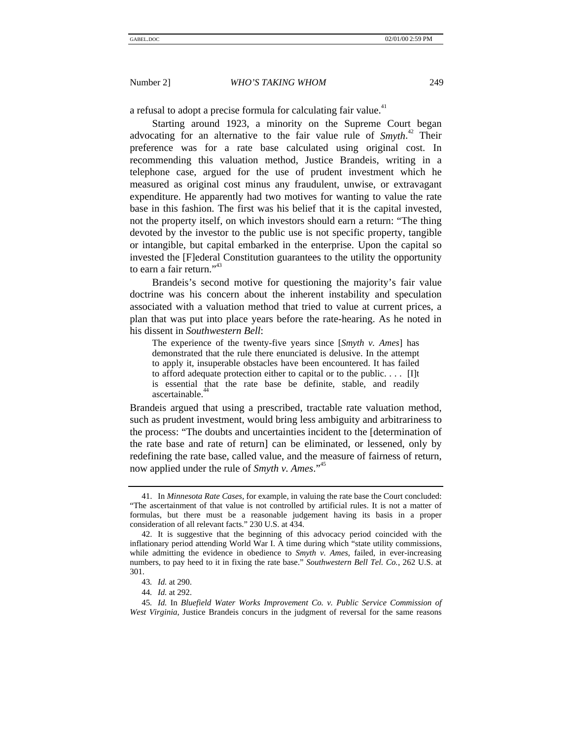a refusal to adopt a precise formula for calculating fair value.<sup>41</sup>

Starting around 1923, a minority on the Supreme Court began advocating for an alternative to the fair value rule of *Smyth*. 42 Their preference was for a rate base calculated using original cost. In recommending this valuation method, Justice Brandeis, writing in a telephone case, argued for the use of prudent investment which he measured as original cost minus any fraudulent, unwise, or extravagant expenditure. He apparently had two motives for wanting to value the rate base in this fashion. The first was his belief that it is the capital invested, not the property itself, on which investors should earn a return: "The thing devoted by the investor to the public use is not specific property, tangible or intangible, but capital embarked in the enterprise. Upon the capital so invested the [F]ederal Constitution guarantees to the utility the opportunity to earn a fair return."<sup>43</sup>

Brandeis's second motive for questioning the majority's fair value doctrine was his concern about the inherent instability and speculation associated with a valuation method that tried to value at current prices, a plan that was put into place years before the rate-hearing. As he noted in his dissent in *Southwestern Bell*:

The experience of the twenty-five years since [*Smyth v. Ames*] has demonstrated that the rule there enunciated is delusive. In the attempt to apply it, insuperable obstacles have been encountered. It has failed to afford adequate protection either to capital or to the public. . . . [I]t is essential that the rate base be definite, stable, and readily ascertainable.

Brandeis argued that using a prescribed, tractable rate valuation method, such as prudent investment, would bring less ambiguity and arbitrariness to the process: "The doubts and uncertainties incident to the [determination of the rate base and rate of return] can be eliminated, or lessened, only by redefining the rate base, called value, and the measure of fairness of return, now applied under the rule of *Smyth v. Ames*." 45

<sup>41.</sup> In *Minnesota Rate Cases*, for example, in valuing the rate base the Court concluded: "The ascertainment of that value is not controlled by artificial rules. It is not a matter of formulas, but there must be a reasonable judgement having its basis in a proper consideration of all relevant facts." 230 U.S. at 434.

<sup>42.</sup> It is suggestive that the beginning of this advocacy period coincided with the inflationary period attending World War I. A time during which "state utility commissions, while admitting the evidence in obedience to *Smyth v. Ames*, failed, in ever-increasing numbers, to pay heed to it in fixing the rate base." *Southwestern Bell Tel. Co.*, 262 U.S. at 301.

<sup>43</sup>*. Id.* at 290.

<sup>44</sup>*. Id.* at 292.

<sup>45</sup>*. Id.* In *Bluefield Water Works Improvement Co. v. Public Service Commission of West Virginia*, Justice Brandeis concurs in the judgment of reversal for the same reasons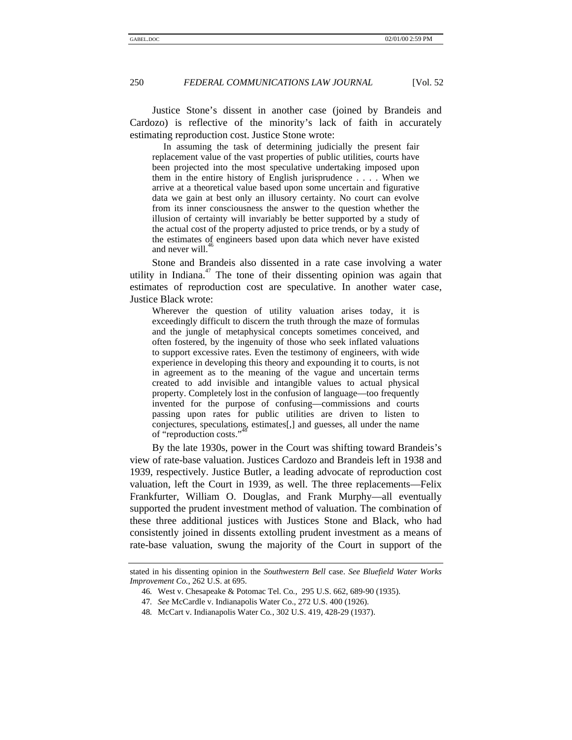Justice Stone's dissent in another case (joined by Brandeis and Cardozo) is reflective of the minority's lack of faith in accurately estimating reproduction cost. Justice Stone wrote:

In assuming the task of determining judicially the present fair replacement value of the vast properties of public utilities, courts have been projected into the most speculative undertaking imposed upon them in the entire history of English jurisprudence . . . . When we arrive at a theoretical value based upon some uncertain and figurative data we gain at best only an illusory certainty. No court can evolve from its inner consciousness the answer to the question whether the illusion of certainty will invariably be better supported by a study of the actual cost of the property adjusted to price trends, or by a study of the estimates of engineers based upon data which never have existed and never will.

Stone and Brandeis also dissented in a rate case involving a water utility in Indiana.<sup>47</sup> The tone of their dissenting opinion was again that estimates of reproduction cost are speculative. In another water case, Justice Black wrote:

Wherever the question of utility valuation arises today, it is exceedingly difficult to discern the truth through the maze of formulas and the jungle of metaphysical concepts sometimes conceived, and often fostered, by the ingenuity of those who seek inflated valuations to support excessive rates. Even the testimony of engineers, with wide experience in developing this theory and expounding it to courts, is not in agreement as to the meaning of the vague and uncertain terms created to add invisible and intangible values to actual physical property. Completely lost in the confusion of language—too frequently invented for the purpose of confusing—commissions and courts passing upon rates for public utilities are driven to listen to conjectures, speculations, estimates[,] and guesses, all under the name 48 of "reproduction costs."

By the late 1930s, power in the Court was shifting toward Brandeis's view of rate-base valuation. Justices Cardozo and Brandeis left in 1938 and 1939, respectively. Justice Butler, a leading advocate of reproduction cost valuation, left the Court in 1939, as well. The three replacements—Felix Frankfurter, William O. Douglas, and Frank Murphy—all eventually supported the prudent investment method of valuation. The combination of these three additional justices with Justices Stone and Black, who had consistently joined in dissents extolling prudent investment as a means of rate-base valuation, swung the majority of the Court in support of the

stated in his dissenting opinion in the *Southwestern Bell* case. *See Bluefield Water Works Improvement Co.*, 262 U.S. at 695.

<sup>46</sup>*.* West v. Chesapeake & Potomac Tel. Co*.*, 295 U.S. 662, 689-90 (1935).

<sup>47</sup>*. See* McCardle v. Indianapolis Water Co., 272 U.S. 400 (1926).

<sup>48</sup>*.* McCart v. Indianapolis Water Co*.*, 302 U.S. 419, 428-29 (1937).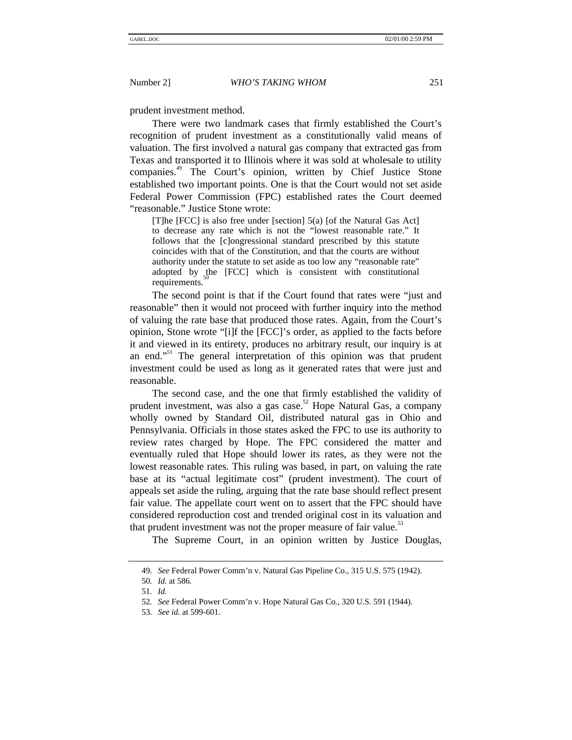prudent investment method.

There were two landmark cases that firmly established the Court's recognition of prudent investment as a constitutionally valid means of valuation. The first involved a natural gas company that extracted gas from Texas and transported it to Illinois where it was sold at wholesale to utility companies.<sup>49</sup> The Court's opinion, written by Chief Justice Stone established two important points. One is that the Court would not set aside Federal Power Commission (FPC) established rates the Court deemed "reasonable." Justice Stone wrote:

[T]he [FCC] is also free under [section] 5(a) [of the Natural Gas Act] to decrease any rate which is not the "lowest reasonable rate." It follows that the [c]ongressional standard prescribed by this statute coincides with that of the Constitution, and that the courts are without authority under the statute to set aside as too low any "reasonable rate" adopted by the [FCC] which is consistent with constitutional requirements.

The second point is that if the Court found that rates were "just and reasonable" then it would not proceed with further inquiry into the method of valuing the rate base that produced those rates. Again, from the Court's opinion, Stone wrote "[i]f the [FCC]'s order, as applied to the facts before it and viewed in its entirety, produces no arbitrary result, our inquiry is at an end."<sup>51</sup> The general interpretation of this opinion was that prudent investment could be used as long as it generated rates that were just and reasonable.

The second case, and the one that firmly established the validity of prudent investment, was also a gas case.<sup>52</sup> Hope Natural Gas, a company wholly owned by Standard Oil, distributed natural gas in Ohio and Pennsylvania. Officials in those states asked the FPC to use its authority to review rates charged by Hope. The FPC considered the matter and eventually ruled that Hope should lower its rates, as they were not the lowest reasonable rates. This ruling was based, in part, on valuing the rate base at its "actual legitimate cost" (prudent investment). The court of appeals set aside the ruling, arguing that the rate base should reflect present fair value. The appellate court went on to assert that the FPC should have considered reproduction cost and trended original cost in its valuation and that prudent investment was not the proper measure of fair value.<sup>53</sup>

The Supreme Court, in an opinion written by Justice Douglas,

<sup>49</sup>*. See* Federal Power Comm'n v. Natural Gas Pipeline Co., 315 U.S. 575 (1942).

<sup>50</sup>*. Id.* at 586*.*

<sup>51</sup>*. Id.*

<sup>52</sup>*. See* Federal Power Comm'n v. Hope Natural Gas Co*.*, 320 U.S. 591 (1944).

<sup>53</sup>*. See id.* at 599-601.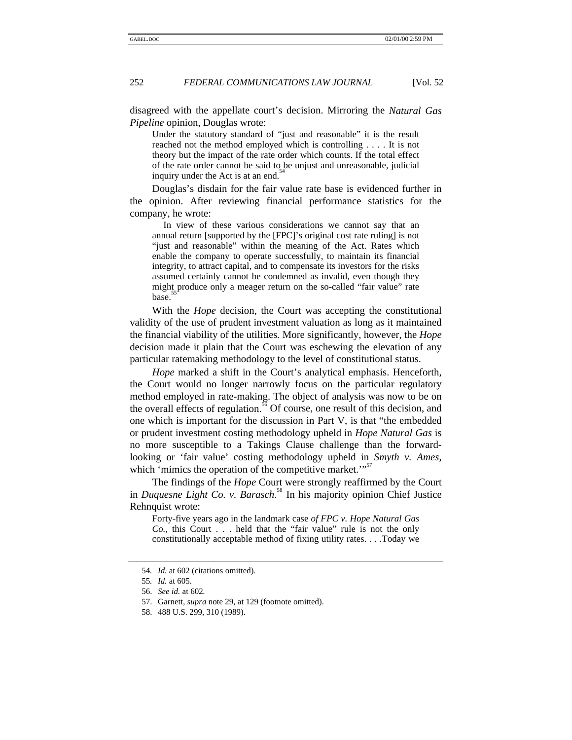disagreed with the appellate court's decision. Mirroring the *Natural Gas Pipeline* opinion, Douglas wrote:

Under the statutory standard of "just and reasonable" it is the result reached not the method employed which is controlling . . . . It is not theory but the impact of the rate order which counts. If the total effect of the rate order cannot be said to be unjust and unreasonable, judicial inquiry under the Act is at an end.<sup>5</sup>

Douglas's disdain for the fair value rate base is evidenced further in the opinion. After reviewing financial performance statistics for the company, he wrote:

In view of these various considerations we cannot say that an annual return [supported by the [FPC]'s original cost rate ruling] is not "just and reasonable" within the meaning of the Act. Rates which enable the company to operate successfully, to maintain its financial integrity, to attract capital, and to compensate its investors for the risks assumed certainly cannot be condemned as invalid, even though they might produce only a meager return on the so-called "fair value" rate base.

With the *Hope* decision, the Court was accepting the constitutional validity of the use of prudent investment valuation as long as it maintained the financial viability of the utilities. More significantly, however, the *Hope* decision made it plain that the Court was eschewing the elevation of any particular ratemaking methodology to the level of constitutional status.

*Hope* marked a shift in the Court's analytical emphasis. Henceforth, the Court would no longer narrowly focus on the particular regulatory method employed in rate-making. The object of analysis was now to be on the overall effects of regulation.<sup>56</sup> Of course, one result of this decision, and one which is important for the discussion in Part V, is that "the embedded or prudent investment costing methodology upheld in *Hope Natural Gas* is no more susceptible to a Takings Clause challenge than the forwardlooking or 'fair value' costing methodology upheld in *Smyth v. Ames*, which 'mimics the operation of the competitive market. $"$ 

The findings of the *Hope* Court were strongly reaffirmed by the Court in *Duquesne Light Co. v. Barasch*. <sup>58</sup> In his majority opinion Chief Justice Rehnquist wrote:

Forty-five years ago in the landmark case *of FPC v. Hope Natural Gas Co.*, this Court . . . held that the "fair value" rule is not the only constitutionally acceptable method of fixing utility rates. . . .Today we

<sup>54</sup>*. Id.* at 602 (citations omitted).

<sup>55</sup>*. Id.* at 605.

<sup>56.</sup> *See id.* at 602*.*

<sup>57.</sup> Garnett, *supra* note 29, at 129 (footnote omitted).

<sup>58. 488</sup> U.S. 299, 310 (1989).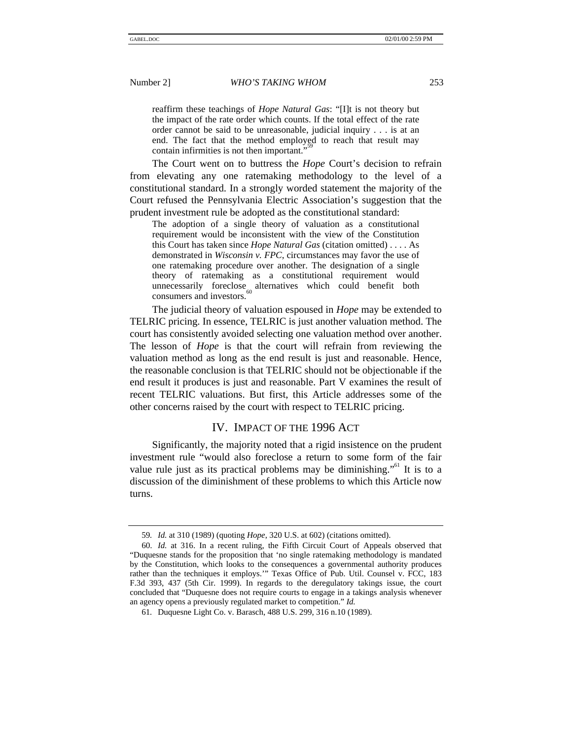reaffirm these teachings of *Hope Natural Gas*: "[I]t is not theory but the impact of the rate order which counts. If the total effect of the rate order cannot be said to be unreasonable, judicial inquiry . . . is at an end. The fact that the method employed to reach that result may contain infirmities is not then important.",<sup>59</sup>

The Court went on to buttress the *Hope* Court's decision to refrain from elevating any one ratemaking methodology to the level of a constitutional standard. In a strongly worded statement the majority of the Court refused the Pennsylvania Electric Association's suggestion that the prudent investment rule be adopted as the constitutional standard:

The adoption of a single theory of valuation as a constitutional requirement would be inconsistent with the view of the Constitution this Court has taken since *Hope Natural Gas* (citation omitted) . . . . As demonstrated in *Wisconsin v. FPC*, circumstances may favor the use of one ratemaking procedure over another. The designation of a single theory of ratemaking as a constitutional requirement would unnecessarily foreclose alternatives which could benefit both consumers and investors.

The judicial theory of valuation espoused in *Hope* may be extended to TELRIC pricing. In essence, TELRIC is just another valuation method. The court has consistently avoided selecting one valuation method over another. The lesson of *Hope* is that the court will refrain from reviewing the valuation method as long as the end result is just and reasonable. Hence, the reasonable conclusion is that TELRIC should not be objectionable if the end result it produces is just and reasonable. Part V examines the result of recent TELRIC valuations. But first, this Article addresses some of the other concerns raised by the court with respect to TELRIC pricing.

# IV. IMPACT OF THE 1996 ACT

Significantly, the majority noted that a rigid insistence on the prudent investment rule "would also foreclose a return to some form of the fair value rule just as its practical problems may be diminishing."<sup>61</sup> It is to a discussion of the diminishment of these problems to which this Article now turns.

<sup>59</sup>*. Id.* at 310 (1989) (quoting *Hope*, 320 U.S. at 602) (citations omitted).

<sup>60.</sup> *Id.* at 316. In a recent ruling, the Fifth Circuit Court of Appeals observed that "Duquesne stands for the proposition that 'no single ratemaking methodology is mandated by the Constitution, which looks to the consequences a governmental authority produces rather than the techniques it employs.'" Texas Office of Pub. Util. Counsel v. FCC, 183 F.3d 393, 437 (5th Cir. 1999). In regards to the deregulatory takings issue, the court concluded that "Duquesne does not require courts to engage in a takings analysis whenever an agency opens a previously regulated market to competition." *Id.*

<sup>61</sup>*.* Duquesne Light Co. v. Barasch, 488 U.S. 299, 316 n.10 (1989).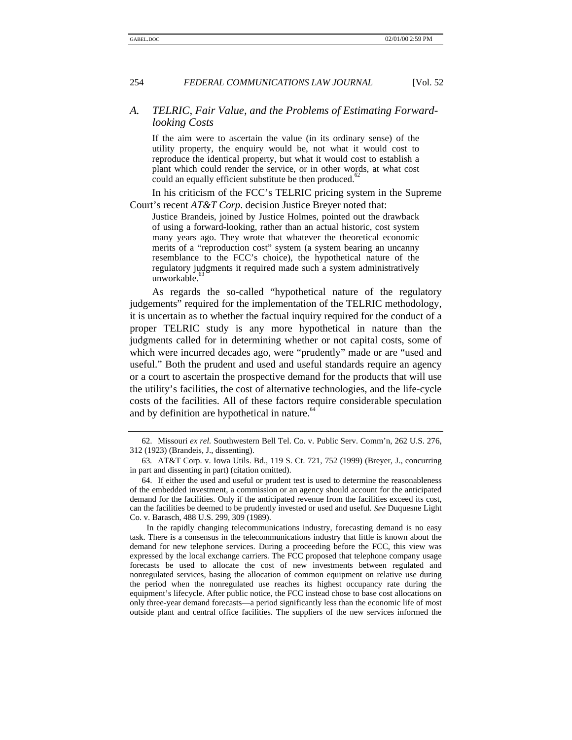# *A. TELRIC, Fair Value, and the Problems of Estimating Forwardlooking Costs*

If the aim were to ascertain the value (in its ordinary sense) of the utility property, the enquiry would be, not what it would cost to reproduce the identical property, but what it would cost to establish a plant which could render the service, or in other words, at what cost could an equally efficient substitute be then produced.<sup>6</sup>

In his criticism of the FCC's TELRIC pricing system in the Supreme Court's recent *AT&T Corp*. decision Justice Breyer noted that:

Justice Brandeis, joined by Justice Holmes, pointed out the drawback of using a forward-looking, rather than an actual historic, cost system many years ago. They wrote that whatever the theoretical economic merits of a "reproduction cost" system (a system bearing an uncanny resemblance to the FCC's choice), the hypothetical nature of the regulatory judgments it required made such a system administratively unworkable.

As regards the so-called "hypothetical nature of the regulatory judgements" required for the implementation of the TELRIC methodology, it is uncertain as to whether the factual inquiry required for the conduct of a proper TELRIC study is any more hypothetical in nature than the judgments called for in determining whether or not capital costs, some of which were incurred decades ago, were "prudently" made or are "used and useful." Both the prudent and used and useful standards require an agency or a court to ascertain the prospective demand for the products that will use the utility's facilities, the cost of alternative technologies, and the life-cycle costs of the facilities. All of these factors require considerable speculation and by definition are hypothetical in nature.<sup>64</sup>

<sup>62.</sup> Missouri *ex rel.* Southwestern Bell Tel. Co. v. Public Serv. Comm'n, 262 U.S. 276, 312 (1923) (Brandeis, J., dissenting).

<sup>63</sup>*.* AT&T Corp. v. Iowa Utils. Bd., 119 S. Ct. 721, 752 (1999) (Breyer, J., concurring in part and dissenting in part) (citation omitted).

<sup>64.</sup> If either the used and useful or prudent test is used to determine the reasonableness of the embedded investment, a commission or an agency should account for the anticipated demand for the facilities. Only if the anticipated revenue from the facilities exceed its cost, can the facilities be deemed to be prudently invested or used and useful. *See* Duquesne Light Co. v. Barasch, 488 U.S. 299, 309 (1989).

In the rapidly changing telecommunications industry, forecasting demand is no easy task. There is a consensus in the telecommunications industry that little is known about the demand for new telephone services. During a proceeding before the FCC, this view was expressed by the local exchange carriers. The FCC proposed that telephone company usage forecasts be used to allocate the cost of new investments between regulated and nonregulated services, basing the allocation of common equipment on relative use during the period when the nonregulated use reaches its highest occupancy rate during the equipment's lifecycle. After public notice, the FCC instead chose to base cost allocations on only three-year demand forecasts—a period significantly less than the economic life of most outside plant and central office facilities. The suppliers of the new services informed the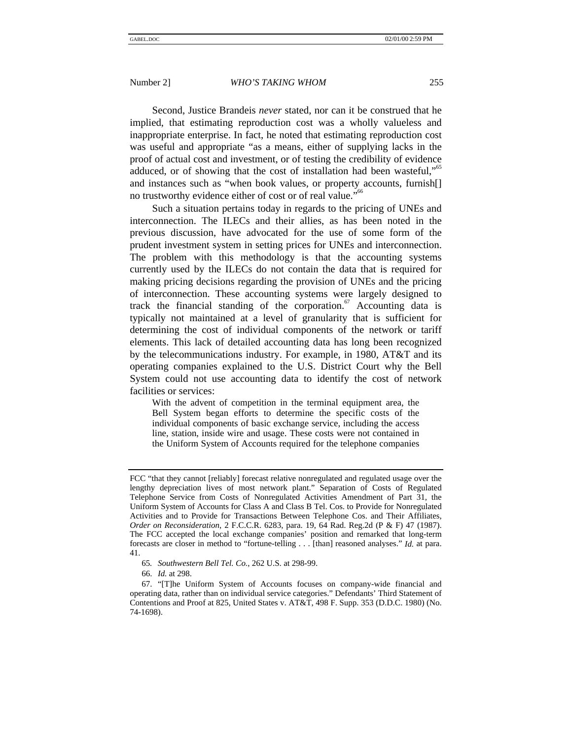Second, Justice Brandeis *never* stated, nor can it be construed that he implied, that estimating reproduction cost was a wholly valueless and inappropriate enterprise. In fact, he noted that estimating reproduction cost was useful and appropriate "as a means, either of supplying lacks in the proof of actual cost and investment, or of testing the credibility of evidence adduced, or of showing that the cost of installation had been wasteful,"<sup>65</sup> and instances such as "when book values, or property accounts, furnish[] no trustworthy evidence either of cost or of real value."<sup>66</sup>

Such a situation pertains today in regards to the pricing of UNEs and interconnection. The ILECs and their allies, as has been noted in the previous discussion, have advocated for the use of some form of the prudent investment system in setting prices for UNEs and interconnection. The problem with this methodology is that the accounting systems currently used by the ILECs do not contain the data that is required for making pricing decisions regarding the provision of UNEs and the pricing of interconnection. These accounting systems were largely designed to track the financial standing of the corporation.<sup>67</sup> Accounting data is typically not maintained at a level of granularity that is sufficient for determining the cost of individual components of the network or tariff elements. This lack of detailed accounting data has long been recognized by the telecommunications industry. For example, in 1980, AT&T and its operating companies explained to the U.S. District Court why the Bell System could not use accounting data to identify the cost of network facilities or services:

With the advent of competition in the terminal equipment area, the Bell System began efforts to determine the specific costs of the individual components of basic exchange service, including the access line, station, inside wire and usage. These costs were not contained in the Uniform System of Accounts required for the telephone companies

FCC "that they cannot [reliably] forecast relative nonregulated and regulated usage over the lengthy depreciation lives of most network plant." Separation of Costs of Regulated Telephone Service from Costs of Nonregulated Activities Amendment of Part 31, the Uniform System of Accounts for Class A and Class B Tel. Cos. to Provide for Nonregulated Activities and to Provide for Transactions Between Telephone Cos. and Their Affiliates, *Order on Reconsideration*, 2 F.C.C.R. 6283, para. 19, 64 Rad. Reg.2d (P & F) 47 (1987). The FCC accepted the local exchange companies' position and remarked that long-term forecasts are closer in method to "fortune-telling . . . [than] reasoned analyses." *Id.* at para. 41.

<sup>65</sup>*. Southwestern Bell Tel. Co.*, 262 U.S. at 298-99.

<sup>66.</sup> *Id.* at 298.

<sup>67.</sup> "[T]he Uniform System of Accounts focuses on company-wide financial and operating data, rather than on individual service categories." Defendants' Third Statement of Contentions and Proof at 825, United States v. AT&T, 498 F. Supp. 353 (D.D.C. 1980) (No. 74-1698).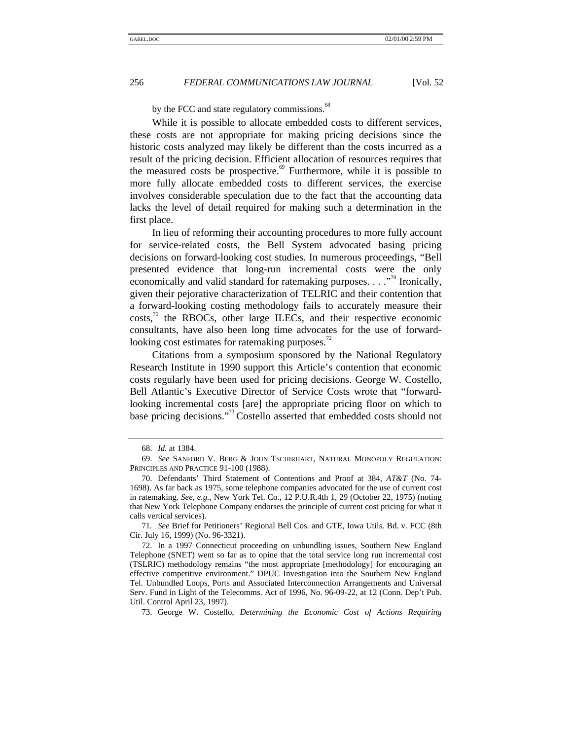by the FCC and state regulatory commissions.<sup>68</sup>

While it is possible to allocate embedded costs to different services, these costs are not appropriate for making pricing decisions since the historic costs analyzed may likely be different than the costs incurred as a result of the pricing decision. Efficient allocation of resources requires that the measured costs be prospective. $\frac{69}{5}$  Furthermore, while it is possible to more fully allocate embedded costs to different services, the exercise involves considerable speculation due to the fact that the accounting data lacks the level of detail required for making such a determination in the first place.

In lieu of reforming their accounting procedures to more fully account for service-related costs, the Bell System advocated basing pricing decisions on forward-looking cost studies. In numerous proceedings, "Bell presented evidence that long-run incremental costs were the only economically and valid standard for ratemaking purposes. . . ."<sup>70</sup> Ironically, given their pejorative characterization of TELRIC and their contention that a forward-looking costing methodology fails to accurately measure their  $costs<sub>1</sub><sup>71</sup>$  the RBOCs, other large ILECs, and their respective economic consultants, have also been long time advocates for the use of forwardlooking cost estimates for ratemaking purposes.<sup>12</sup>

Citations from a symposium sponsored by the National Regulatory Research Institute in 1990 support this Article's contention that economic costs regularly have been used for pricing decisions. George W. Costello, Bell Atlantic's Executive Director of Service Costs wrote that "forwardlooking incremental costs [are] the appropriate pricing floor on which to base pricing decisions."<sup>73</sup> Costello asserted that embedded costs should not

73. George W. Costello, *Determining the Economic Cost of Actions Requiring*

<sup>68.</sup> *Id.* at 1384.

<sup>69.</sup> *See* SANFORD V. BERG & JOHN TSCHIRHART, NATURAL MONOPOLY REGULATION: PRINCIPLES AND PRACTICE 91-100 (1988).

<sup>70.</sup> Defendants' Third Statement of Contentions and Proof at 384, *AT&T* (No. 74- 1698). As far back as 1975, some telephone companies advocated for the use of current cost in ratemaking. *See, e.g.*, New York Tel. Co., 12 P.U.R.4th 1, 29 (October 22, 1975) (noting that New York Telephone Company endorses the principle of current cost pricing for what it calls vertical services).

<sup>71</sup>*. See* Brief for Petitioners' Regional Bell Cos. and GTE, Iowa Utils. Bd. v. FCC (8th Cir. July 16, 1999) (No. 96-3321).

<sup>72.</sup> In a 1997 Connecticut proceeding on unbundling issues, Southern New England Telephone (SNET) went so far as to opine that the total service long run incremental cost (TSLRIC) methodology remains "the most appropriate [methodology] for encouraging an effective competitive environment." DPUC Investigation into the Southern New England Tel. Unbundled Loops, Ports and Associated Interconnection Arrangements and Universal Serv. Fund in Light of the Telecomms. Act of 1996, No. 96-09-22, at 12 (Conn. Dep't Pub. Util. Control April 23, 1997).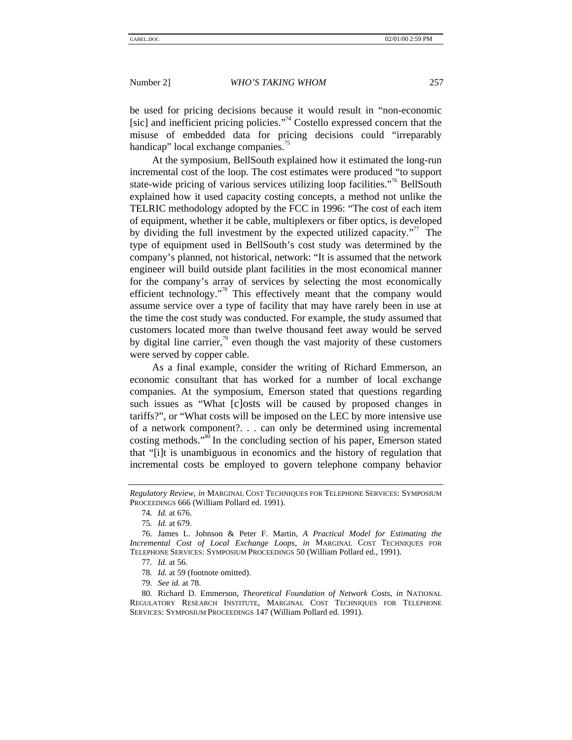be used for pricing decisions because it would result in "non-economic [sic] and inefficient pricing policies."<sup>74</sup> Costello expressed concern that the misuse of embedded data for pricing decisions could "irreparably handicap" local exchange companies.<sup>75</sup>

At the symposium, BellSouth explained how it estimated the long-run incremental cost of the loop. The cost estimates were produced "to support state-wide pricing of various services utilizing loop facilities."<sup>76</sup> BellSouth explained how it used capacity costing concepts, a method not unlike the TELRIC methodology adopted by the FCC in 1996: "The cost of each item of equipment, whether it be cable, multiplexers or fiber optics, is developed by dividing the full investment by the expected utilized capacity."<sup>77</sup> The type of equipment used in BellSouth's cost study was determined by the company's planned, not historical, network: "It is assumed that the network engineer will build outside plant facilities in the most economical manner for the company's array of services by selecting the most economically efficient technology."<sup>8</sup> This effectively meant that the company would assume service over a type of facility that may have rarely been in use at the time the cost study was conducted. For example, the study assumed that customers located more than twelve thousand feet away would be served by digital line carrier,  $\frac{79}{9}$  even though the vast majority of these customers were served by copper cable.

As a final example, consider the writing of Richard Emmerson, an economic consultant that has worked for a number of local exchange companies. At the symposium, Emerson stated that questions regarding such issues as "What [c]osts will be caused by proposed changes in tariffs?", or "What costs will be imposed on the LEC by more intensive use of a network component?. . . can only be determined using incremental costing methods."<sup>80</sup> In the concluding section of his paper, Emerson stated that "[i]t is unambiguous in economics and the history of regulation that incremental costs be employed to govern telephone company behavior

*Regulatory Review, in* MARGINAL COST TECHNIQUES FOR TELEPHONE SERVICES: SYMPOSIUM PROCEEDINGS 666 (William Pollard ed. 1991).

<sup>74</sup>*. Id.* at 676.

<sup>75</sup>*. Id.* at 679.

<sup>76.</sup> James L. Johnson & Peter F. Martin*, A Practical Model for Estimating the Incremental Cost of Local Exchange Loops, in* MARGINAL COST TECHNIQUES FOR TELEPHONE SERVICES: SYMPOSIUM PROCEEDINGS 50 (William Pollard ed., 1991).

<sup>77</sup>*. Id.* at 56.

<sup>78</sup>*. Id.* at 59 (footnote omitted).

<sup>79</sup>*. See id.* at 78.

<sup>80</sup>*.* Richard D. Emmerson, *Theoretical Foundation of Network Costs*, *in* NATIONAL REGULATORY RESEARCH INSTITUTE, MARGINAL COST TECHNIQUES FOR TELEPHONE SERVICES: SYMPOSIUM PROCEEDINGS 147 (William Pollard ed. 1991).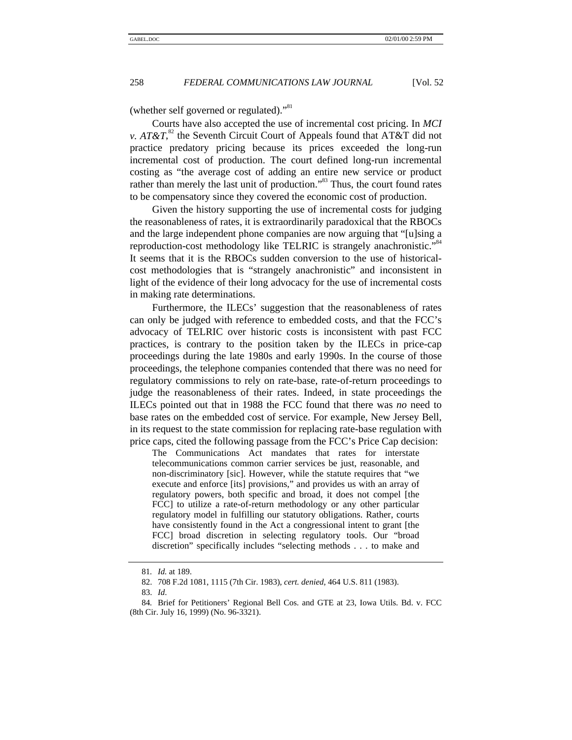(whether self governed or regulated)."<sup>81</sup>

Courts have also accepted the use of incremental cost pricing. In *MCI v. AT&T*,<sup>82</sup> the Seventh Circuit Court of Appeals found that AT&T did not practice predatory pricing because its prices exceeded the long-run incremental cost of production. The court defined long-run incremental costing as "the average cost of adding an entire new service or product rather than merely the last unit of production."<sup>83</sup> Thus, the court found rates to be compensatory since they covered the economic cost of production.

Given the history supporting the use of incremental costs for judging the reasonableness of rates, it is extraordinarily paradoxical that the RBOCs and the large independent phone companies are now arguing that "[u]sing a reproduction-cost methodology like TELRIC is strangely anachronistic." 84 It seems that it is the RBOCs sudden conversion to the use of historicalcost methodologies that is "strangely anachronistic" and inconsistent in light of the evidence of their long advocacy for the use of incremental costs in making rate determinations.

Furthermore, the ILECs' suggestion that the reasonableness of rates can only be judged with reference to embedded costs, and that the FCC's advocacy of TELRIC over historic costs is inconsistent with past FCC practices, is contrary to the position taken by the ILECs in price-cap proceedings during the late 1980s and early 1990s. In the course of those proceedings, the telephone companies contended that there was no need for regulatory commissions to rely on rate-base, rate-of-return proceedings to judge the reasonableness of their rates. Indeed, in state proceedings the ILECs pointed out that in 1988 the FCC found that there was *no* need to base rates on the embedded cost of service. For example, New Jersey Bell, in its request to the state commission for replacing rate-base regulation with price caps, cited the following passage from the FCC's Price Cap decision:

The Communications Act mandates that rates for interstate telecommunications common carrier services be just, reasonable, and non-discriminatory [sic]. However, while the statute requires that "we execute and enforce [its] provisions," and provides us with an array of regulatory powers, both specific and broad, it does not compel [the FCC] to utilize a rate-of-return methodology or any other particular regulatory model in fulfilling our statutory obligations. Rather, courts have consistently found in the Act a congressional intent to grant [the FCC] broad discretion in selecting regulatory tools. Our "broad discretion" specifically includes "selecting methods . . . to make and

<sup>81</sup>*. Id.* at 189.

<sup>82. 708</sup> F.2d 1081, 1115 (7th Cir. 1983), *cert. denied*, 464 U.S. 811 (1983).

<sup>83.</sup> *Id*.

<sup>84</sup>*.* Brief for Petitioners' Regional Bell Cos. and GTE at 23, Iowa Utils. Bd. v. FCC (8th Cir. July 16, 1999) (No. 96-3321).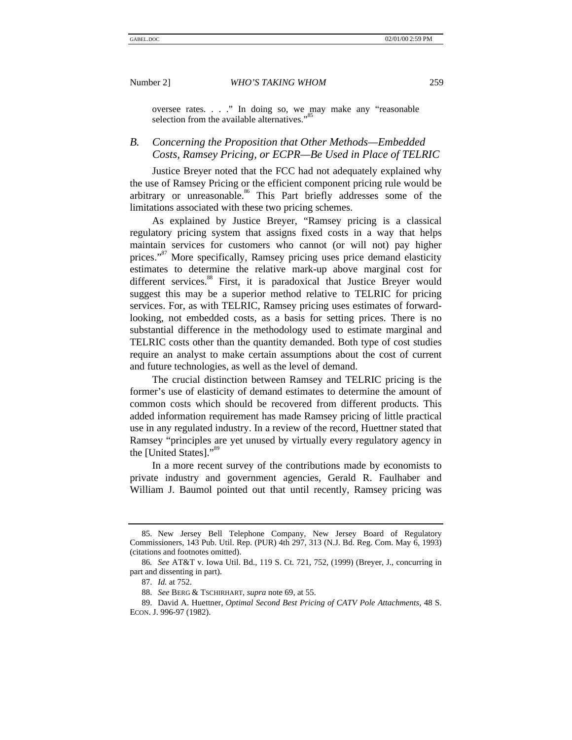oversee rates. . . ." In doing so, we may make any "reasonable selection from the available alternatives."

# *B. Concerning the Proposition that Other Methods—Embedded Costs, Ramsey Pricing, or ECPR—Be Used in Place of TELRIC*

Justice Breyer noted that the FCC had not adequately explained why the use of Ramsey Pricing or the efficient component pricing rule would be arbitrary or unreasonable.<sup>86</sup> This Part briefly addresses some of the limitations associated with these two pricing schemes.

As explained by Justice Breyer, "Ramsey pricing is a classical regulatory pricing system that assigns fixed costs in a way that helps maintain services for customers who cannot (or will not) pay higher prices."<sup>87</sup> More specifically, Ramsey pricing uses price demand elasticity estimates to determine the relative mark-up above marginal cost for different services.<sup>88</sup> First, it is paradoxical that Justice Breyer would suggest this may be a superior method relative to TELRIC for pricing services. For, as with TELRIC, Ramsey pricing uses estimates of forwardlooking, not embedded costs, as a basis for setting prices. There is no substantial difference in the methodology used to estimate marginal and TELRIC costs other than the quantity demanded. Both type of cost studies require an analyst to make certain assumptions about the cost of current and future technologies, as well as the level of demand.

The crucial distinction between Ramsey and TELRIC pricing is the former's use of elasticity of demand estimates to determine the amount of common costs which should be recovered from different products. This added information requirement has made Ramsey pricing of little practical use in any regulated industry. In a review of the record, Huettner stated that Ramsey "principles are yet unused by virtually every regulatory agency in the [United States]."<sup>89</sup>

In a more recent survey of the contributions made by economists to private industry and government agencies, Gerald R. Faulhaber and William J. Baumol pointed out that until recently, Ramsey pricing was

<sup>85.</sup> New Jersey Bell Telephone Company, New Jersey Board of Regulatory Commissioners, 143 Pub. Util. Rep. (PUR) 4th 297, 313 (N.J. Bd. Reg. Com. May 6, 1993) (citations and footnotes omitted).

<sup>86</sup>*. See* AT&T v. Iowa Util. Bd., 119 S. Ct. 721, 752, (1999) (Breyer, J., concurring in part and dissenting in part).

<sup>87.</sup> *Id.* at 752.

<sup>88.</sup> *See* BERG & TSCHIRHART, *supra* note 69, at 55.

<sup>89.</sup> David A. Huettner, *Optimal Second Best Pricing of CATV Pole Attachments*, 48 S. ECON. J. 996-97 (1982).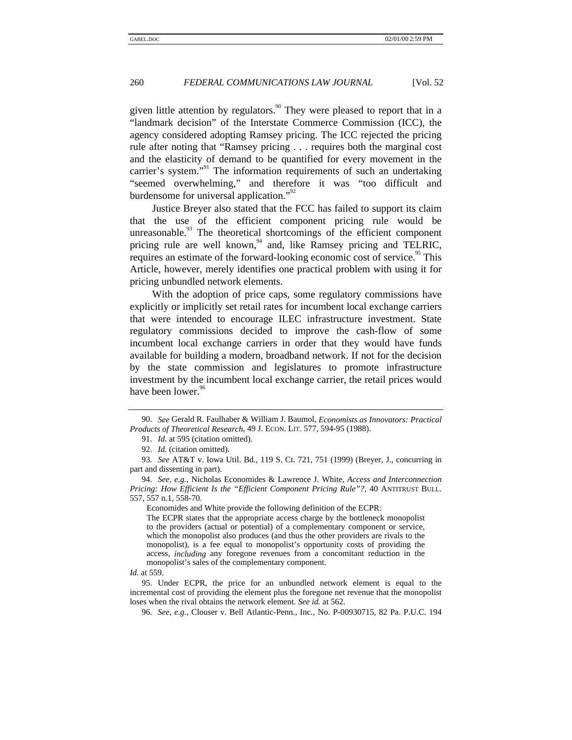given little attention by regulators.<sup>90</sup> They were pleased to report that in a "landmark decision" of the Interstate Commerce Commission (ICC), the agency considered adopting Ramsey pricing. The ICC rejected the pricing rule after noting that "Ramsey pricing . . . requires both the marginal cost and the elasticity of demand to be quantified for every movement in the carrier's system."<sup>91</sup> The information requirements of such an undertaking "seemed overwhelming," and therefore it was "too difficult and burdensome for universal application."<sup>92</sup>

Justice Breyer also stated that the FCC has failed to support its claim that the use of the efficient component pricing rule would be unreasonable. $93$  The theoretical shortcomings of the efficient component pricing rule are well known,  $94$  and, like Ramsey pricing and TELRIC, requires an estimate of the forward-looking economic cost of service.<sup>95</sup> This Article, however, merely identifies one practical problem with using it for pricing unbundled network elements.

With the adoption of price caps, some regulatory commissions have explicitly or implicitly set retail rates for incumbent local exchange carriers that were intended to encourage ILEC infrastructure investment. State regulatory commissions decided to improve the cash-flow of some incumbent local exchange carriers in order that they would have funds available for building a modern, broadband network. If not for the decision by the state commission and legislatures to promote infrastructure investment by the incumbent local exchange carrier, the retail prices would have been lower.<sup>96</sup>

Economides and White provide the following definition of the ECPR:

<sup>90.</sup> *See* Gerald R. Faulhaber & William J. Baumol, *Economists as Innovators: Practical Products of Theoretical Research*, 49 J. ECON. LIT. 577, 594-95 (1988).

<sup>91.</sup> *Id.* at 595 (citation omitted).

<sup>92.</sup> *Id.* (citation omitted).

<sup>93</sup>*. See* AT&T v. Iowa Util. Bd., 119 S. Ct. 721, 751 (1999) (Breyer, J., concurring in part and dissenting in part).

<sup>94.</sup> *See, e.g.*, Nicholas Economides & Lawrence J. White, *Access and Interconnection Pricing: How Efficient Is the "Efficient Component Pricing Rule"?*, 40 ANTITRUST BULL. 557, 557 n.1, 558-70.

The ECPR states that the appropriate access charge by the bottleneck monopolist to the providers (actual or potential) of a complementary component or service, which the monopolist also produces (and thus the other providers are rivals to the monopolist), is a fee equal to monopolist's opportunity costs of providing the access, *including* any foregone revenues from a concomitant reduction in the monopolist's sales of the complementary component.

*Id.* at 559.

<sup>95.</sup> Under ECPR, the price for an unbundled network element is equal to the incremental cost of providing the element plus the foregone net revenue that the monopolist loses when the rival obtains the network element. *See id.* at 562.

<sup>96.</sup> *See, e.g.*, Clouser v. Bell Atlantic-Penn., Inc*.,* No. P-00930715, 82 Pa. P.U.C. 194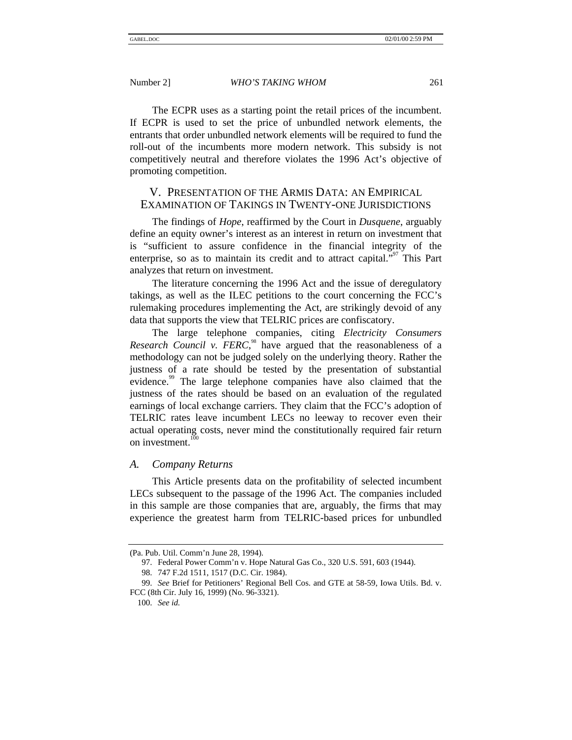The ECPR uses as a starting point the retail prices of the incumbent. If ECPR is used to set the price of unbundled network elements, the entrants that order unbundled network elements will be required to fund the roll-out of the incumbents more modern network. This subsidy is not competitively neutral and therefore violates the 1996 Act's objective of promoting competition.

# V. PRESENTATION OF THE ARMIS DATA: AN EMPIRICAL EXAMINATION OF TAKINGS IN TWENTY-ONE JURISDICTIONS

The findings of *Hope*, reaffirmed by the Court in *Dusquene*, arguably define an equity owner's interest as an interest in return on investment that is "sufficient to assure confidence in the financial integrity of the enterprise, so as to maintain its credit and to attract capital."<sup>97</sup> This Part analyzes that return on investment.

The literature concerning the 1996 Act and the issue of deregulatory takings, as well as the ILEC petitions to the court concerning the FCC's rulemaking procedures implementing the Act, are strikingly devoid of any data that supports the view that TELRIC prices are confiscatory.

The large telephone companies, citing *Electricity Consumers Research Council v. FERC*,<sup> $\alpha$ </sup> have argued that the reasonableness of a methodology can not be judged solely on the underlying theory. Rather the justness of a rate should be tested by the presentation of substantial evidence.<sup>99</sup> The large telephone companies have also claimed that the justness of the rates should be based on an evaluation of the regulated earnings of local exchange carriers. They claim that the FCC's adoption of TELRIC rates leave incumbent LECs no leeway to recover even their actual operating costs, never mind the constitutionally required fair return on investment. $1$ 

#### *A. Company Returns*

This Article presents data on the profitability of selected incumbent LECs subsequent to the passage of the 1996 Act. The companies included in this sample are those companies that are, arguably, the firms that may experience the greatest harm from TELRIC-based prices for unbundled

<sup>(</sup>Pa. Pub. Util. Comm'n June 28, 1994).

<sup>97.</sup> Federal Power Comm'n v. Hope Natural Gas Co., 320 U.S. 591, 603 (1944).

<sup>98. 747</sup> F.2d 1511, 1517 (D.C. Cir. 1984).

<sup>99.</sup> *See* Brief for Petitioners' Regional Bell Cos. and GTE at 58-59, Iowa Utils. Bd. v. FCC (8th Cir. July 16, 1999) (No. 96-3321).

<sup>100.</sup> *See id.*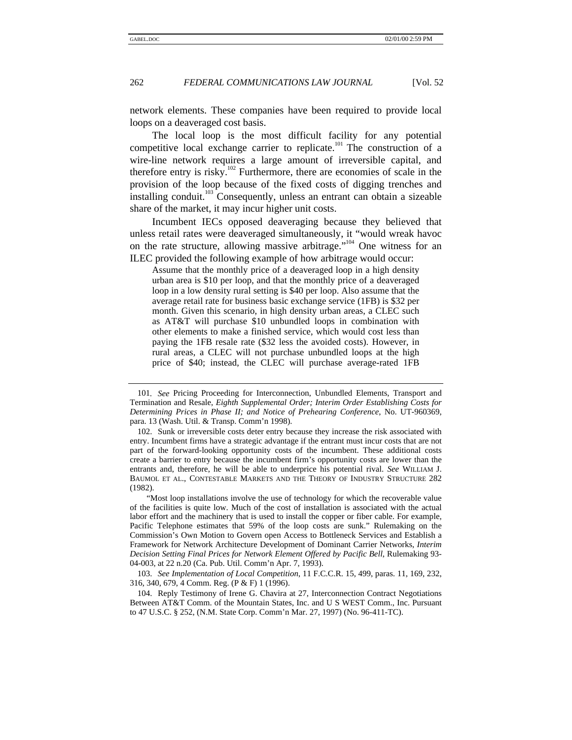network elements. These companies have been required to provide local loops on a deaveraged cost basis.

The local loop is the most difficult facility for any potential competitive local exchange carrier to replicate.<sup>101</sup> The construction of a wire-line network requires a large amount of irreversible capital, and therefore entry is risky.<sup>102</sup> Furthermore, there are economies of scale in the provision of the loop because of the fixed costs of digging trenches and installing conduit.<sup>103</sup> Consequently, unless an entrant can obtain a sizeable share of the market, it may incur higher unit costs.

Incumbent IECs opposed deaveraging because they believed that unless retail rates were deaveraged simultaneously, it "would wreak havoc on the rate structure, allowing massive arbitrage."<sup>104</sup> One witness for an ILEC provided the following example of how arbitrage would occur:

Assume that the monthly price of a deaveraged loop in a high density urban area is \$10 per loop, and that the monthly price of a deaveraged loop in a low density rural setting is \$40 per loop. Also assume that the average retail rate for business basic exchange service (1FB) is \$32 per month. Given this scenario, in high density urban areas, a CLEC such as AT&T will purchase \$10 unbundled loops in combination with other elements to make a finished service, which would cost less than paying the 1FB resale rate (\$32 less the avoided costs). However, in rural areas, a CLEC will not purchase unbundled loops at the high price of \$40; instead, the CLEC will purchase average-rated 1FB

<sup>101</sup>*. See* Pricing Proceeding for Interconnection, Unbundled Elements, Transport and Termination and Resale, *Eighth Supplemental Order; Interim Order Establishing Costs for Determining Prices in Phase II; and Notice of Prehearing Conference*, No. UT-960369, para. 13 (Wash. Util. & Transp. Comm'n 1998).

<sup>102.</sup> Sunk or irreversible costs deter entry because they increase the risk associated with entry. Incumbent firms have a strategic advantage if the entrant must incur costs that are not part of the forward-looking opportunity costs of the incumbent. These additional costs create a barrier to entry because the incumbent firm's opportunity costs are lower than the entrants and, therefore, he will be able to underprice his potential rival. *See* WILLIAM J. BAUMOL ET AL., CONTESTABLE MARKETS AND THE THEORY OF INDUSTRY STRUCTURE 282 (1982).

<sup>&</sup>quot;Most loop installations involve the use of technology for which the recoverable value of the facilities is quite low. Much of the cost of installation is associated with the actual labor effort and the machinery that is used to install the copper or fiber cable. For example, Pacific Telephone estimates that 59% of the loop costs are sunk." Rulemaking on the Commission's Own Motion to Govern open Access to Bottleneck Services and Establish a Framework for Network Architecture Development of Dominant Carrier Networks, *Interim Decision Setting Final Prices for Network Element Offered by Pacific Bell*, Rulemaking 93- 04-003, at 22 n.20 (Ca. Pub. Util. Comm'n Apr. 7, 1993).

<sup>103.</sup> *See Implementation of Local Competition*, 11 F.C.C.R. 15, 499, paras. 11, 169, 232, 316, 340, 679, 4 Comm. Reg. (P & F) 1 (1996).

<sup>104.</sup> Reply Testimony of Irene G. Chavira at 27, Interconnection Contract Negotiations Between AT&T Comm. of the Mountain States, Inc. and U S WEST Comm., Inc. Pursuant to 47 U.S.C. § 252, (N.M. State Corp. Comm'n Mar. 27, 1997) (No. 96-411-TC).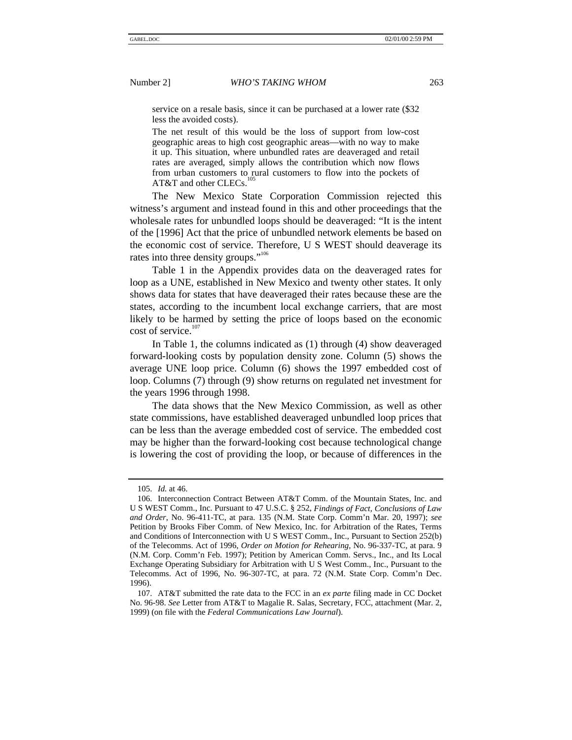service on a resale basis, since it can be purchased at a lower rate (\$32

less the avoided costs). The net result of this would be the loss of support from low-cost geographic areas to high cost geographic areas—with no way to make it up. This situation, where unbundled rates are deaveraged and retail rates are averaged, simply allows the contribution which now flows from urban customers to rural customers to flow into the pockets of AT&T and other CLECs.

The New Mexico State Corporation Commission rejected this witness's argument and instead found in this and other proceedings that the wholesale rates for unbundled loops should be deaveraged: "It is the intent of the [1996] Act that the price of unbundled network elements be based on the economic cost of service. Therefore, U S WEST should deaverage its rates into three density groups."<sup>106</sup>

Table 1 in the Appendix provides data on the deaveraged rates for loop as a UNE, established in New Mexico and twenty other states. It only shows data for states that have deaveraged their rates because these are the states, according to the incumbent local exchange carriers, that are most likely to be harmed by setting the price of loops based on the economic cost of service.<sup>107</sup>

In Table 1, the columns indicated as (1) through (4) show deaveraged forward-looking costs by population density zone. Column (5) shows the average UNE loop price. Column (6) shows the 1997 embedded cost of loop. Columns (7) through (9) show returns on regulated net investment for the years 1996 through 1998.

The data shows that the New Mexico Commission, as well as other state commissions, have established deaveraged unbundled loop prices that can be less than the average embedded cost of service. The embedded cost may be higher than the forward-looking cost because technological change is lowering the cost of providing the loop, or because of differences in the

<sup>105.</sup> *Id.* at 46.

<sup>106.</sup> Interconnection Contract Between AT&T Comm. of the Mountain States, Inc. and U S WEST Comm., Inc. Pursuant to 47 U.S.C. § 252, *Findings of Fact, Conclusions of Law and Order*, No. 96-411-TC, at para. 135 (N.M. State Corp. Comm'n Mar. 20, 1997); *see* Petition by Brooks Fiber Comm. of New Mexico, Inc. for Arbitration of the Rates, Terms and Conditions of Interconnection with U S WEST Comm., Inc., Pursuant to Section 252(b) of the Telecomms. Act of 1996, *Order on Motion for Rehearing*, No. 96-337-TC, at para. 9 (N.M. Corp. Comm'n Feb. 1997); Petition by American Comm. Servs., Inc., and Its Local Exchange Operating Subsidiary for Arbitration with U S West Comm., Inc., Pursuant to the Telecomms. Act of 1996, No. 96-307-TC, at para. 72 (N.M. State Corp. Comm'n Dec. 1996).

<sup>107.</sup> AT&T submitted the rate data to the FCC in an *ex parte* filing made in CC Docket No. 96-98. *See* Letter from AT&T to Magalie R. Salas, Secretary, FCC, attachment (Mar. 2, 1999) (on file with the *Federal Communications Law Journal*).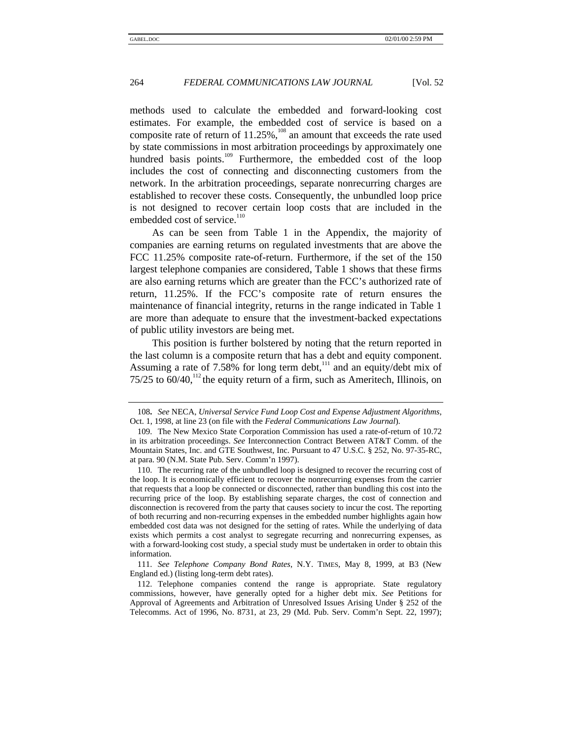methods used to calculate the embedded and forward-looking cost estimates. For example, the embedded cost of service is based on a composite rate of return of  $11.25\%$ ,  $^{108}$  an amount that exceeds the rate used by state commissions in most arbitration proceedings by approximately one hundred basis points. $109$  Furthermore, the embedded cost of the loop includes the cost of connecting and disconnecting customers from the network. In the arbitration proceedings, separate nonrecurring charges are established to recover these costs. Consequently, the unbundled loop price is not designed to recover certain loop costs that are included in the embedded cost of service.<sup>110</sup>

As can be seen from Table 1 in the Appendix, the majority of companies are earning returns on regulated investments that are above the FCC 11.25% composite rate-of-return. Furthermore, if the set of the 150 largest telephone companies are considered, Table 1 shows that these firms are also earning returns which are greater than the FCC's authorized rate of return, 11.25%. If the FCC's composite rate of return ensures the maintenance of financial integrity, returns in the range indicated in Table 1 are more than adequate to ensure that the investment-backed expectations of public utility investors are being met.

This position is further bolstered by noting that the return reported in the last column is a composite return that has a debt and equity component. Assuming a rate of 7.58% for long term debt,<sup>111</sup> and an equity/debt mix of 75/25 to  $60/40$ ,<sup>112</sup> the equity return of a firm, such as Ameritech, Illinois, on

<sup>108</sup>**.** *See* NECA, *Universal Service Fund Loop Cost and Expense Adjustment Algorithms*, Oct. 1, 1998, at line 23 (on file with the *Federal Communications Law Journal*).

<sup>109.</sup> The New Mexico State Corporation Commission has used a rate-of-return of 10.72 in its arbitration proceedings. *See* Interconnection Contract Between AT&T Comm. of the Mountain States, Inc. and GTE Southwest, Inc. Pursuant to 47 U.S.C. § 252, No. 97-35-RC, at para. 90 (N.M. State Pub. Serv. Comm'n 1997).

<sup>110.</sup> The recurring rate of the unbundled loop is designed to recover the recurring cost of the loop. It is economically efficient to recover the nonrecurring expenses from the carrier that requests that a loop be connected or disconnected, rather than bundling this cost into the recurring price of the loop. By establishing separate charges, the cost of connection and disconnection is recovered from the party that causes society to incur the cost. The reporting of both recurring and non-recurring expenses in the embedded number highlights again how embedded cost data was not designed for the setting of rates. While the underlying of data exists which permits a cost analyst to segregate recurring and nonrecurring expenses, as with a forward-looking cost study, a special study must be undertaken in order to obtain this information.

<sup>111.</sup> *See Telephone Company Bond Rates*, N.Y. TIMES, May 8, 1999, at B3 (New England ed.) (listing long-term debt rates).

<sup>112.</sup> Telephone companies contend the range is appropriate. State regulatory commissions, however, have generally opted for a higher debt mix. *See* Petitions for Approval of Agreements and Arbitration of Unresolved Issues Arising Under § 252 of the Telecomms. Act of 1996, No. 8731, at 23, 29 (Md. Pub. Serv. Comm'n Sept. 22, 1997);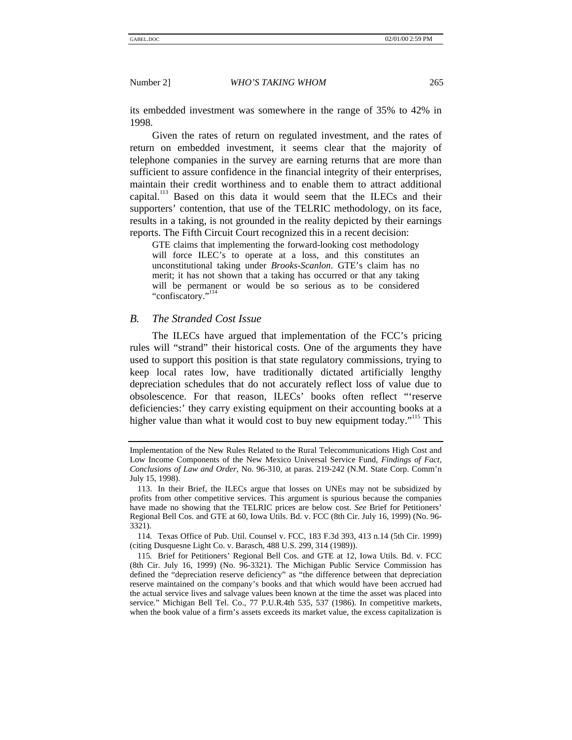its embedded investment was somewhere in the range of 35% to 42% in 1998.

Given the rates of return on regulated investment, and the rates of return on embedded investment, it seems clear that the majority of telephone companies in the survey are earning returns that are more than sufficient to assure confidence in the financial integrity of their enterprises, maintain their credit worthiness and to enable them to attract additional capital.<sup>113</sup> Based on this data it would seem that the ILECs and their supporters' contention, that use of the TELRIC methodology, on its face, results in a taking, is not grounded in the reality depicted by their earnings reports. The Fifth Circuit Court recognized this in a recent decision:

GTE claims that implementing the forward-looking cost methodology will force ILEC's to operate at a loss, and this constitutes an unconstitutional taking under *Brooks-Scanlon*. GTE's claim has no merit; it has not shown that a taking has occurred or that any taking will be permanent or would be so serious as to be considered "confiscatory." 114

# *B. The Stranded Cost Issue*

The ILECs have argued that implementation of the FCC's pricing rules will "strand" their historical costs. One of the arguments they have used to support this position is that state regulatory commissions, trying to keep local rates low, have traditionally dictated artificially lengthy depreciation schedules that do not accurately reflect loss of value due to obsolescence. For that reason, ILECs' books often reflect "'reserve deficiencies:' they carry existing equipment on their accounting books at a higher value than what it would cost to buy new equipment today."<sup>115</sup> This

Implementation of the New Rules Related to the Rural Telecommunications High Cost and Low Income Components of the New Mexico Universal Service Fund, *Findings of Fact, Conclusions of Law and Order*, No. 96-310, at paras. 219-242 (N.M. State Corp. Comm'n July 15, 1998).

<sup>113.</sup> In their Brief, the ILECs argue that losses on UNEs may not be subsidized by profits from other competitive services. This argument is spurious because the companies have made no showing that the TELRIC prices are below cost. *See* Brief for Petitioners' Regional Bell Cos. and GTE at 60, Iowa Utils. Bd. v. FCC (8th Cir. July 16, 1999) (No. 96- 3321).

<sup>114</sup>*.* Texas Office of Pub. Util. Counsel v. FCC, 183 F.3d 393, 413 n.14 (5th Cir. 1999) (citing Dusquesne Light Co. v. Barasch, 488 U.S. 299, 314 (1989)).

<sup>115</sup>*.* Brief for Petitioners' Regional Bell Cos. and GTE at 12, Iowa Utils. Bd. v. FCC (8th Cir. July 16, 1999) (No. 96-3321). The Michigan Public Service Commission has defined the "depreciation reserve deficiency" as "the difference between that depreciation reserve maintained on the company's books and that which would have been accrued had the actual service lives and salvage values been known at the time the asset was placed into service." Michigan Bell Tel. Co., 77 P.U.R.4th 535, 537 (1986). In competitive markets, when the book value of a firm's assets exceeds its market value, the excess capitalization is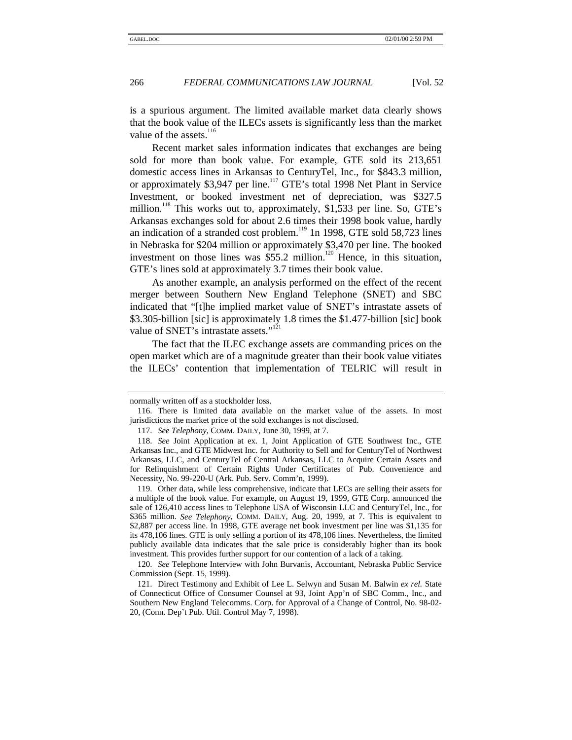is a spurious argument. The limited available market data clearly shows that the book value of the ILECs assets is significantly less than the market value of the assets.<sup>116</sup>

Recent market sales information indicates that exchanges are being sold for more than book value. For example, GTE sold its 213,651 domestic access lines in Arkansas to CenturyTel, Inc., for \$843.3 million, or approximately \$3,947 per line.<sup>117</sup> GTE's total 1998 Net Plant in Service Investment, or booked investment net of depreciation, was \$327.5 million.<sup>118</sup> This works out to, approximately, \$1,533 per line. So, GTE's Arkansas exchanges sold for about 2.6 times their 1998 book value, hardly an indication of a stranded cost problem.<sup>119</sup> 1n 1998, GTE sold 58,723 lines in Nebraska for \$204 million or approximately \$3,470 per line. The booked investment on those lines was  $\overline{$55.2}$$  million.<sup>120</sup> Hence, in this situation, GTE's lines sold at approximately 3.7 times their book value.

As another example, an analysis performed on the effect of the recent merger between Southern New England Telephone (SNET) and SBC indicated that "[t]he implied market value of SNET's intrastate assets of \$3.305-billion [sic] is approximately 1.8 times the \$1.477-billion [sic] book value of SNET's intrastate assets."<sup>121</sup>

The fact that the ILEC exchange assets are commanding prices on the open market which are of a magnitude greater than their book value vitiates the ILECs' contention that implementation of TELRIC will result in

normally written off as a stockholder loss.

<sup>116.</sup> There is limited data available on the market value of the assets. In most jurisdictions the market price of the sold exchanges is not disclosed.

<sup>117.</sup> *See Telephony*, COMM. DAILY, June 30, 1999, at 7.

<sup>118.</sup> *See* Joint Application at ex. 1, Joint Application of GTE Southwest Inc., GTE Arkansas Inc., and GTE Midwest Inc. for Authority to Sell and for CenturyTel of Northwest Arkansas, LLC, and CenturyTel of Central Arkansas, LLC to Acquire Certain Assets and for Relinquishment of Certain Rights Under Certificates of Pub. Convenience and Necessity, No. 99-220-U (Ark. Pub. Serv. Comm'n, 1999).

<sup>119.</sup> Other data, while less comprehensive, indicate that LECs are selling their assets for a multiple of the book value. For example, on August 19, 1999, GTE Corp. announced the sale of 126,410 access lines to Telephone USA of Wisconsin LLC and CenturyTel, Inc., for \$365 million. *See Telephony*, COMM. DAILY, Aug. 20, 1999, at 7. This is equivalent to \$2,887 per access line. In 1998, GTE average net book investment per line was \$1,135 for its 478,106 lines. GTE is only selling a portion of its 478,106 lines. Nevertheless, the limited publicly available data indicates that the sale price is considerably higher than its book investment. This provides further support for our contention of a lack of a taking.

<sup>120.</sup> *See* Telephone Interview with John Burvanis, Accountant, Nebraska Public Service Commission (Sept. 15, 1999).

<sup>121.</sup> Direct Testimony and Exhibit of Lee L. Selwyn and Susan M. Balwin *ex rel.* State of Connecticut Office of Consumer Counsel at 93, Joint App'n of SBC Comm., Inc., and Southern New England Telecomms. Corp. for Approval of a Change of Control, No. 98-02- 20, (Conn. Dep't Pub. Util. Control May 7, 1998).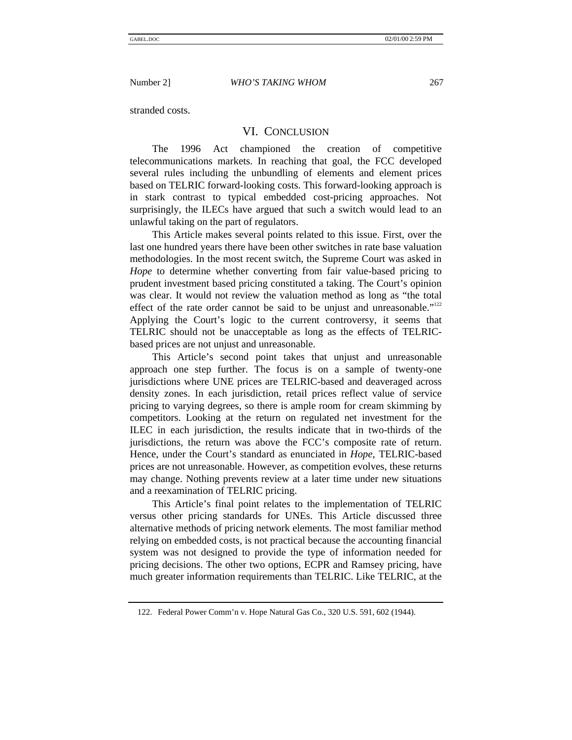stranded costs.

# VI. CONCLUSION

The 1996 Act championed the creation of competitive telecommunications markets. In reaching that goal, the FCC developed several rules including the unbundling of elements and element prices based on TELRIC forward-looking costs. This forward-looking approach is in stark contrast to typical embedded cost-pricing approaches. Not surprisingly, the ILECs have argued that such a switch would lead to an unlawful taking on the part of regulators.

This Article makes several points related to this issue. First, over the last one hundred years there have been other switches in rate base valuation methodologies. In the most recent switch, the Supreme Court was asked in *Hope* to determine whether converting from fair value-based pricing to prudent investment based pricing constituted a taking. The Court's opinion was clear. It would not review the valuation method as long as "the total effect of the rate order cannot be said to be unjust and unreasonable."<sup>122</sup> Applying the Court's logic to the current controversy, it seems that TELRIC should not be unacceptable as long as the effects of TELRICbased prices are not unjust and unreasonable.

This Article's second point takes that unjust and unreasonable approach one step further. The focus is on a sample of twenty-one jurisdictions where UNE prices are TELRIC-based and deaveraged across density zones. In each jurisdiction, retail prices reflect value of service pricing to varying degrees, so there is ample room for cream skimming by competitors. Looking at the return on regulated net investment for the ILEC in each jurisdiction, the results indicate that in two-thirds of the jurisdictions, the return was above the FCC's composite rate of return. Hence, under the Court's standard as enunciated in *Hope*, TELRIC-based prices are not unreasonable. However, as competition evolves, these returns may change. Nothing prevents review at a later time under new situations and a reexamination of TELRIC pricing.

This Article's final point relates to the implementation of TELRIC versus other pricing standards for UNEs. This Article discussed three alternative methods of pricing network elements. The most familiar method relying on embedded costs, is not practical because the accounting financial system was not designed to provide the type of information needed for pricing decisions. The other two options, ECPR and Ramsey pricing, have much greater information requirements than TELRIC. Like TELRIC, at the

<sup>122.</sup> Federal Power Comm'n v. Hope Natural Gas Co., 320 U.S. 591, 602 (1944).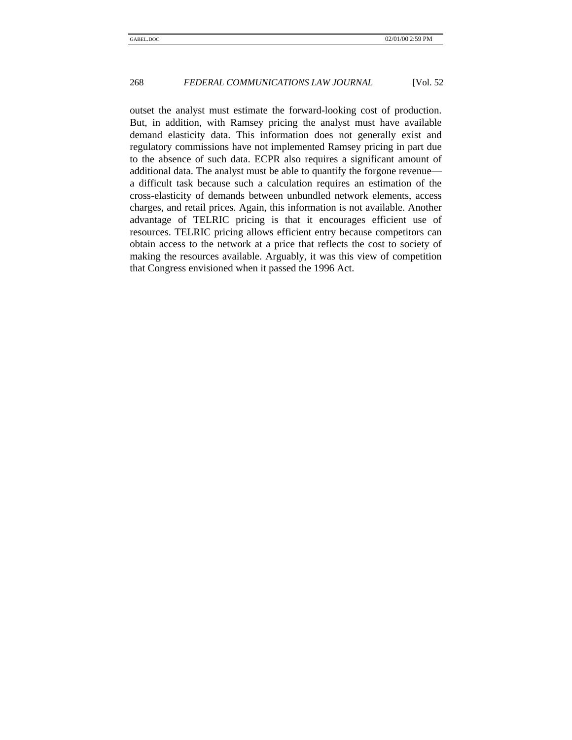outset the analyst must estimate the forward-looking cost of production. But, in addition, with Ramsey pricing the analyst must have available demand elasticity data. This information does not generally exist and regulatory commissions have not implemented Ramsey pricing in part due to the absence of such data. ECPR also requires a significant amount of additional data. The analyst must be able to quantify the forgone revenue a difficult task because such a calculation requires an estimation of the cross-elasticity of demands between unbundled network elements, access charges, and retail prices. Again, this information is not available. Another advantage of TELRIC pricing is that it encourages efficient use of resources. TELRIC pricing allows efficient entry because competitors can obtain access to the network at a price that reflects the cost to society of making the resources available. Arguably, it was this view of competition that Congress envisioned when it passed the 1996 Act.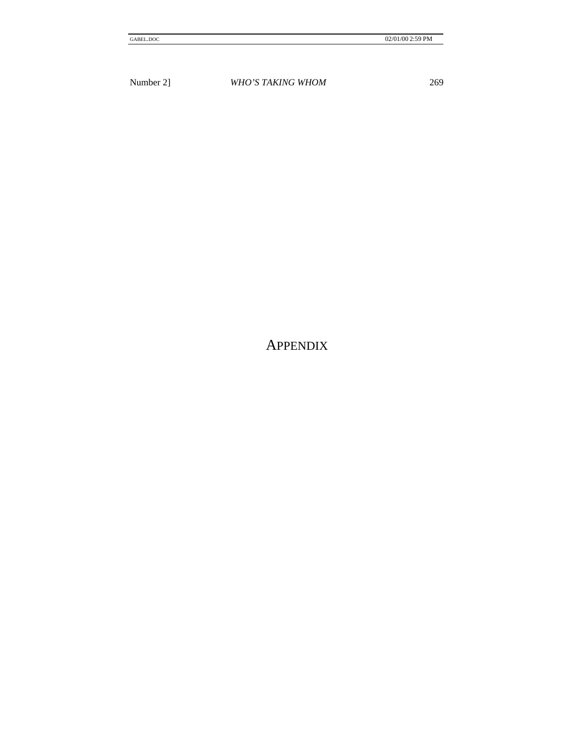APPENDIX